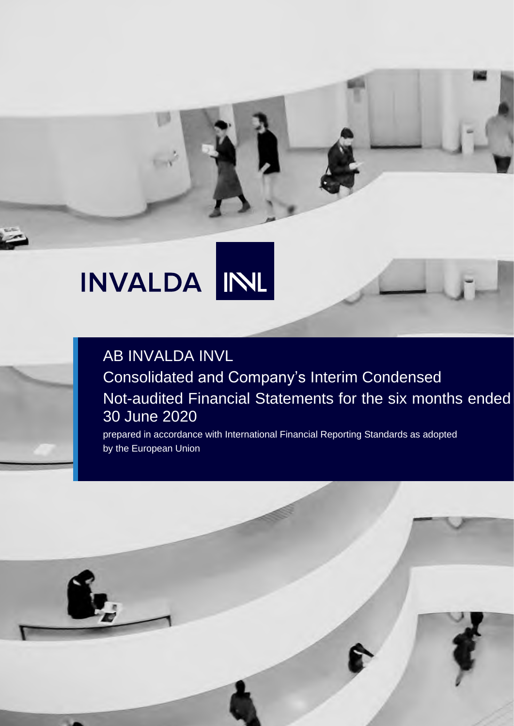# INL INVALDA

# AB INVALDA INVL Consolidated and Company's Interim Condensed Not-audited Financial Statements for the six months ended 30 June 2020

prepared in accordance with International Financial Reporting Standards as adopted by the European Union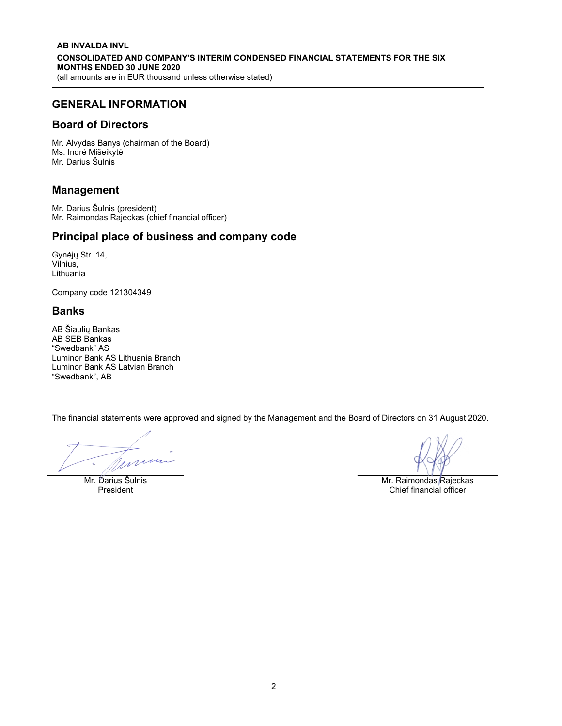# GENERAL INFORMATION

### Board of Directors

Mr. Alvydas Banys (chairman of the Board) Ms. Indrė Mišeikytė Mr. Darius Šulnis

## Management

Mr. Darius Šulnis (president) Mr. Raimondas Rajeckas (chief financial officer)

# Principal place of business and company code

Gynėjų Str. 14, Vilnius, Lithuania

Company code 121304349

### Banks

AB Šiaulių Bankas AB SEB Bankas "Swedbank" AS Luminor Bank AS Lithuania Branch Luminor Bank AS Latvian Branch "Swedbank", AB

The financial statements were approved and signed by the Management and the Board of Directors on 31 August 2020.

mum

Mr. Darius Šulnis **Mr. Parius Šulnis Mr. Raimondas Rajeckas**<br>President Mr. Raimondas Rajeckas Chief financial officer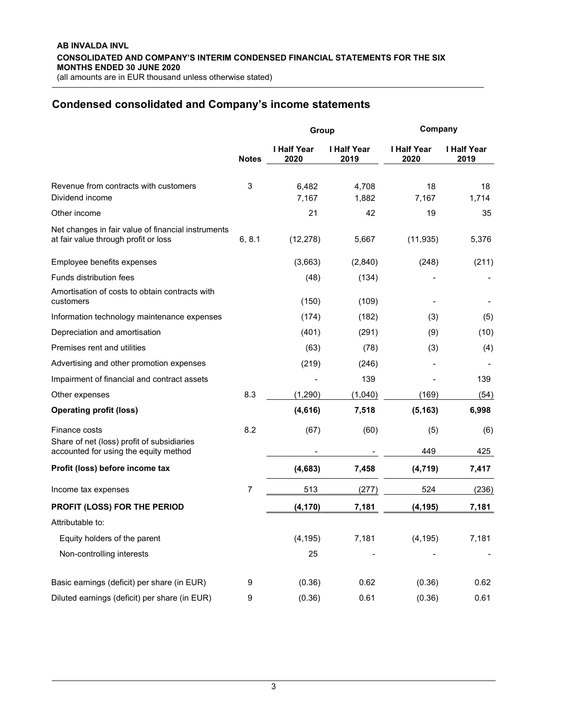## Condensed consolidated and Company's income statements

|                                                                                                      |              | Group                      |                            | Company             |                            |  |
|------------------------------------------------------------------------------------------------------|--------------|----------------------------|----------------------------|---------------------|----------------------------|--|
|                                                                                                      | <b>Notes</b> | <b>I Half Year</b><br>2020 | <b>I Half Year</b><br>2019 | I Half Year<br>2020 | <b>I Half Year</b><br>2019 |  |
| Revenue from contracts with customers<br>Dividend income                                             | 3            | 6,482<br>7,167             | 4,708<br>1,882             | 18<br>7,167         | 18<br>1,714                |  |
| Other income                                                                                         |              | 21                         | 42                         | 19                  | 35                         |  |
| Net changes in fair value of financial instruments<br>at fair value through profit or loss           | 6, 8.1       | (12, 278)                  | 5,667                      | (11, 935)           | 5,376                      |  |
| Employee benefits expenses                                                                           |              | (3,663)                    | (2,840)                    | (248)               | (211)                      |  |
| Funds distribution fees                                                                              |              | (48)                       | (134)                      |                     |                            |  |
| Amortisation of costs to obtain contracts with<br>customers                                          |              | (150)                      | (109)                      |                     |                            |  |
| Information technology maintenance expenses                                                          |              | (174)                      | (182)                      | (3)                 | (5)                        |  |
| Depreciation and amortisation                                                                        |              | (401)                      | (291)                      | (9)                 | (10)                       |  |
| Premises rent and utilities                                                                          |              | (63)                       | (78)                       | (3)                 | (4)                        |  |
| Advertising and other promotion expenses                                                             |              | (219)                      | (246)                      |                     |                            |  |
| Impairment of financial and contract assets                                                          |              |                            | 139                        |                     | 139                        |  |
| Other expenses                                                                                       | 8.3          | (1,290)                    | (1,040)                    | (169)               | (54)                       |  |
| <b>Operating profit (loss)</b>                                                                       |              | (4,616)                    | 7,518                      | (5, 163)            | 6,998                      |  |
| Finance costs<br>Share of net (loss) profit of subsidiaries<br>accounted for using the equity method | 8.2          | (67)                       | (60)                       | (5)<br>449          | (6)<br>425                 |  |
|                                                                                                      |              |                            |                            |                     |                            |  |
| Profit (loss) before income tax                                                                      |              | (4,683)                    | 7,458                      | (4, 719)            | 7,417                      |  |
| Income tax expenses                                                                                  | 7            | 513                        | (277)                      | 524                 | (236)                      |  |
| PROFIT (LOSS) FOR THE PERIOD                                                                         |              | (4, 170)                   | 7,181                      | (4, 195)            | 7,181                      |  |
| Attributable to:                                                                                     |              |                            |                            |                     |                            |  |
| Equity holders of the parent                                                                         |              | (4, 195)                   | 7,181                      | (4, 195)            | 7,181                      |  |
| Non-controlling interests                                                                            |              | 25                         |                            |                     |                            |  |
| Basic earnings (deficit) per share (in EUR)                                                          | 9            | (0.36)                     | 0.62                       | (0.36)              | 0.62                       |  |
| Diluted earnings (deficit) per share (in EUR)                                                        | 9            | (0.36)                     | 0.61                       | (0.36)              | 0.61                       |  |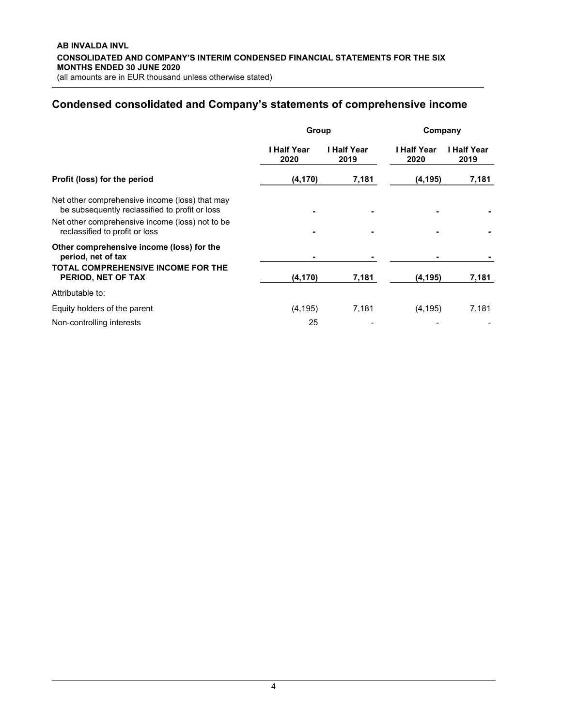# Condensed consolidated and Company's statements of comprehensive income

|                                                                                                  | Group               |                     | Company             |                     |  |
|--------------------------------------------------------------------------------------------------|---------------------|---------------------|---------------------|---------------------|--|
|                                                                                                  | l Half Year<br>2020 | I Half Year<br>2019 | I Half Year<br>2020 | I Half Year<br>2019 |  |
| Profit (loss) for the period                                                                     | (4, 170)            | 7,181               | (4, 195)            | 7,181               |  |
| Net other comprehensive income (loss) that may<br>be subsequently reclassified to profit or loss |                     |                     |                     |                     |  |
| Net other comprehensive income (loss) not to be<br>reclassified to profit or loss                |                     |                     |                     |                     |  |
| Other comprehensive income (loss) for the<br>period, net of tax                                  |                     |                     |                     |                     |  |
| TOTAL COMPREHENSIVE INCOME FOR THE<br>PERIOD, NET OF TAX                                         | (4, 170)            | 7,181               | (4,195)             | 7,181               |  |
| Attributable to:                                                                                 |                     |                     |                     |                     |  |
| Equity holders of the parent                                                                     | (4, 195)            | 7,181               | (4, 195)            | 7,181               |  |
| Non-controlling interests                                                                        | 25                  |                     |                     |                     |  |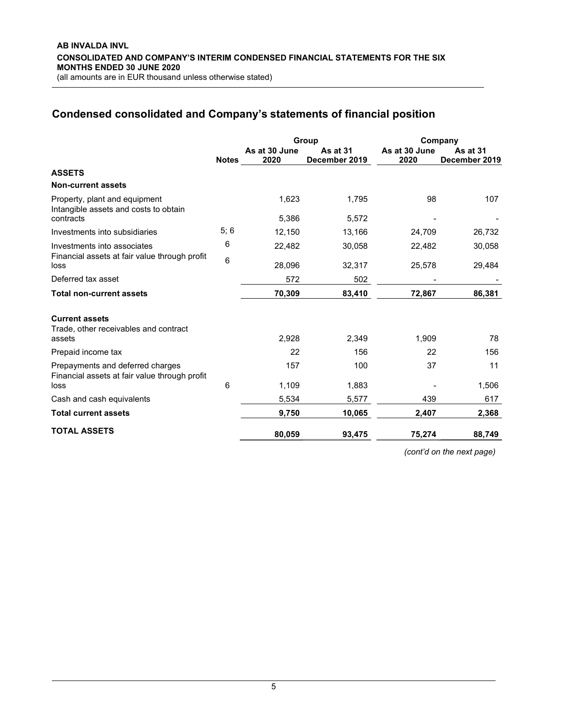# Condensed consolidated and Company's statements of financial position

|                                                                                   |              |                       | Group                            | Company               |                                  |  |
|-----------------------------------------------------------------------------------|--------------|-----------------------|----------------------------------|-----------------------|----------------------------------|--|
|                                                                                   | <b>Notes</b> | As at 30 June<br>2020 | <b>As at 31</b><br>December 2019 | As at 30 June<br>2020 | <b>As at 31</b><br>December 2019 |  |
| <b>ASSETS</b>                                                                     |              |                       |                                  |                       |                                  |  |
| <b>Non-current assets</b>                                                         |              |                       |                                  |                       |                                  |  |
| Property, plant and equipment<br>Intangible assets and costs to obtain            |              | 1,623                 | 1,795                            | 98                    | 107                              |  |
| contracts                                                                         |              | 5,386                 | 5,572                            |                       |                                  |  |
| Investments into subsidiaries                                                     | 5;6          | 12,150                | 13,166                           | 24,709                | 26,732                           |  |
| Investments into associates                                                       | 6            | 22,482                | 30,058                           | 22,482                | 30,058                           |  |
| Financial assets at fair value through profit<br>loss                             | 6            | 28,096                | 32,317                           | 25,578                | 29,484                           |  |
| Deferred tax asset                                                                |              | 572                   | 502                              |                       |                                  |  |
| <b>Total non-current assets</b>                                                   |              | 70,309                | 83,410                           | 72,867                | 86,381                           |  |
| <b>Current assets</b><br>Trade, other receivables and contract<br>assets          |              | 2,928                 | 2,349                            | 1,909                 | 78                               |  |
| Prepaid income tax                                                                |              | 22                    | 156                              | 22                    | 156                              |  |
| Prepayments and deferred charges<br>Financial assets at fair value through profit |              | 157                   | 100                              | 37                    | 11                               |  |
| loss                                                                              | 6            | 1,109                 | 1,883                            |                       | 1,506                            |  |
| Cash and cash equivalents                                                         |              | 5,534                 | 5,577                            | 439                   | 617                              |  |
| <b>Total current assets</b>                                                       |              | 9,750                 | 10,065                           | 2,407                 | 2,368                            |  |
| <b>TOTAL ASSETS</b>                                                               |              | 80,059                | 93,475                           | 75,274                | 88,749                           |  |

(cont'd on the next page)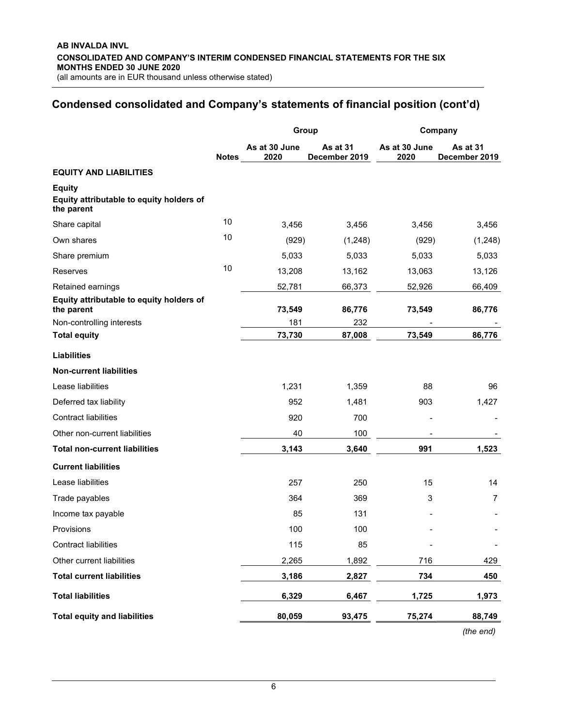# Condensed consolidated and Company's statements of financial position (cont'd)

|                                                                         |              | Group                 |                           | Company               |                           |  |
|-------------------------------------------------------------------------|--------------|-----------------------|---------------------------|-----------------------|---------------------------|--|
|                                                                         | <b>Notes</b> | As at 30 June<br>2020 | As at 31<br>December 2019 | As at 30 June<br>2020 | As at 31<br>December 2019 |  |
| <b>EQUITY AND LIABILITIES</b>                                           |              |                       |                           |                       |                           |  |
| <b>Equity</b><br>Equity attributable to equity holders of<br>the parent |              |                       |                           |                       |                           |  |
| Share capital                                                           | 10           | 3,456                 | 3,456                     | 3,456                 | 3,456                     |  |
| Own shares                                                              | 10           | (929)                 | (1,248)                   | (929)                 | (1,248)                   |  |
| Share premium                                                           |              | 5,033                 | 5,033                     | 5,033                 | 5,033                     |  |
| Reserves                                                                | 10           | 13,208                | 13,162                    | 13,063                | 13,126                    |  |
| Retained earnings                                                       |              | 52,781                | 66,373                    | 52,926                | 66,409                    |  |
| Equity attributable to equity holders of<br>the parent                  |              | 73,549                | 86,776                    | 73,549                | 86,776                    |  |
| Non-controlling interests                                               |              | 181                   | 232                       |                       |                           |  |
| <b>Total equity</b>                                                     |              | 73,730                | 87,008                    | 73,549                | 86,776                    |  |
| <b>Liabilities</b>                                                      |              |                       |                           |                       |                           |  |
| <b>Non-current liabilities</b>                                          |              |                       |                           |                       |                           |  |
| Lease liabilities                                                       |              | 1,231                 | 1,359                     | 88                    | 96                        |  |
| Deferred tax liability                                                  |              | 952                   | 1,481                     | 903                   | 1,427                     |  |
| <b>Contract liabilities</b>                                             |              | 920                   | 700                       |                       |                           |  |
| Other non-current liabilities                                           |              | 40                    | 100                       |                       |                           |  |
| <b>Total non-current liabilities</b>                                    |              | 3,143                 | 3,640                     | 991                   | 1,523                     |  |
| <b>Current liabilities</b>                                              |              |                       |                           |                       |                           |  |
| Lease liabilities                                                       |              | 257                   | 250                       | 15                    | 14                        |  |
| Trade payables                                                          |              | 364                   | 369                       | 3                     | 7                         |  |
| Income tax payable                                                      |              | 85                    | 131                       |                       |                           |  |
| Provisions                                                              |              | 100                   | 100                       |                       |                           |  |
| <b>Contract liabilities</b>                                             |              | 115                   | 85                        |                       |                           |  |
| Other current liabilities                                               |              | 2,265                 | 1,892                     | 716                   | 429                       |  |
| <b>Total current liabilities</b>                                        |              | 3,186                 | 2,827                     | 734                   | 450                       |  |
| <b>Total liabilities</b>                                                |              | 6,329                 | 6,467                     | 1,725                 | 1,973                     |  |
| <b>Total equity and liabilities</b>                                     |              | 80,059                | 93,475                    | 75,274                | 88,749                    |  |

(the end)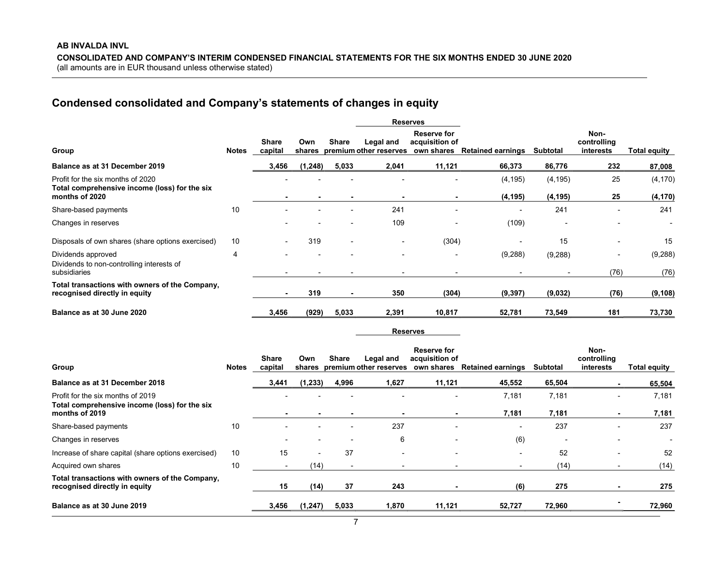# Condensed consolidated and Company's statements of changes in equity

|                                                                                                      |              |                         |               |                          |                                     | <b>Reserves</b>                                    |                          |                      |                                  |                      |
|------------------------------------------------------------------------------------------------------|--------------|-------------------------|---------------|--------------------------|-------------------------------------|----------------------------------------------------|--------------------------|----------------------|----------------------------------|----------------------|
| Group                                                                                                | <b>Notes</b> | <b>Share</b><br>capital | Own<br>shares | Share                    | Legal and<br>premium other reserves | <b>Reserve for</b><br>acquisition of<br>own shares | <b>Retained earnings</b> | Subtotal             | Non-<br>controlling<br>interests | Total equity         |
| Balance as at 31 December 2019                                                                       |              | 3,456                   | (1, 248)      | 5,033                    | 2,041                               | 11,121                                             | 66,373                   | 86,776               | 232                              | 87,008               |
| Profit for the six months of 2020<br>Total comprehensive income (loss) for the six<br>months of 2020 |              |                         |               |                          |                                     |                                                    | (4, 195)<br>(4, 195)     | (4, 195)<br>(4, 195) | 25<br>25                         | (4, 170)<br>(4, 170) |
| Share-based payments                                                                                 | 10           |                         |               | $\overline{\phantom{0}}$ | 241                                 | $\overline{\phantom{0}}$                           | $\overline{\phantom{0}}$ | 241                  | -                                | 241                  |
| Changes in reserves                                                                                  |              |                         |               |                          | 109                                 | $\overline{\phantom{0}}$                           | (109)                    |                      |                                  | $\blacksquare$       |
| Disposals of own shares (share options exercised)                                                    | 10           |                         | 319           |                          | $\overline{\phantom{a}}$            | (304)                                              | $\overline{\phantom{a}}$ | 15                   | $\overline{a}$                   | 15                   |
| Dividends approved<br>Dividends to non-controlling interests of<br>subsidiaries                      | 4            |                         |               |                          |                                     | $\overline{\phantom{a}}$                           | (9, 288)                 | (9,288)              | -<br>(76)                        | (9, 288)<br>(76)     |
| Total transactions with owners of the Company,<br>recognised directly in equity                      |              |                         | 319           |                          | 350                                 | (304)                                              | (9, 397)                 | (9,032)              | (76)                             | (9, 108)             |
| Balance as at 30 June 2020                                                                           |              | 3,456                   | (929)         | 5,033                    | 2,391                               | 10,817                                             | 52,781                   | 73,549               | 181                              | 73,730               |
|                                                                                                      |              |                         |               |                          |                                     |                                                    |                          |                      |                                  |                      |

Reserves

|                                                                                    |       | Share   | Own      | Share | Legal and              | Reserve for<br>acquisition of |                          |                 | Non-<br>controlling |                     |
|------------------------------------------------------------------------------------|-------|---------|----------|-------|------------------------|-------------------------------|--------------------------|-----------------|---------------------|---------------------|
| Group                                                                              | Notes | capital | shares   |       | premium other reserves | own shares                    | <b>Retained earnings</b> | <b>Subtotal</b> | interests           | <b>Total equity</b> |
| Balance as at 31 December 2018                                                     |       | 3,441   | (1,233)  | 4,996 | 1,627                  | 11,121                        | 45,552                   | 65,504          |                     | 65,504              |
| Profit for the six months of 2019<br>Total comprehensive income (loss) for the six |       |         |          |       |                        | <b>.</b>                      | 7,181                    | 7,181           |                     | 7,181               |
| months of 2019                                                                     |       |         |          |       |                        | $\blacksquare$                | 7,181                    | 7.181           |                     | 7,181               |
| Share-based payments                                                               | 10    |         |          |       | 237                    |                               | $\overline{\phantom{a}}$ | 237             |                     | 237                 |
| Changes in reserves                                                                |       |         |          |       | 6                      |                               | (6)                      |                 |                     |                     |
| Increase of share capital (share options exercised)                                | 10    | 15      |          | 37    |                        |                               | $\overline{\phantom{a}}$ | 52              |                     | 52                  |
| Acquired own shares                                                                | 10    |         | (14)     |       |                        |                               | $\overline{\phantom{a}}$ | (14)            |                     | (14)                |
| Total transactions with owners of the Company,<br>recognised directly in equity    |       | 15      | (14)     | 37    | 243                    |                               | (6)                      | 275             |                     | 275                 |
| Balance as at 30 June 2019                                                         |       | 3,456   | (1, 247) | 5,033 | 1,870                  | 11,121                        | 52,727                   | 72,960          |                     | 72,960              |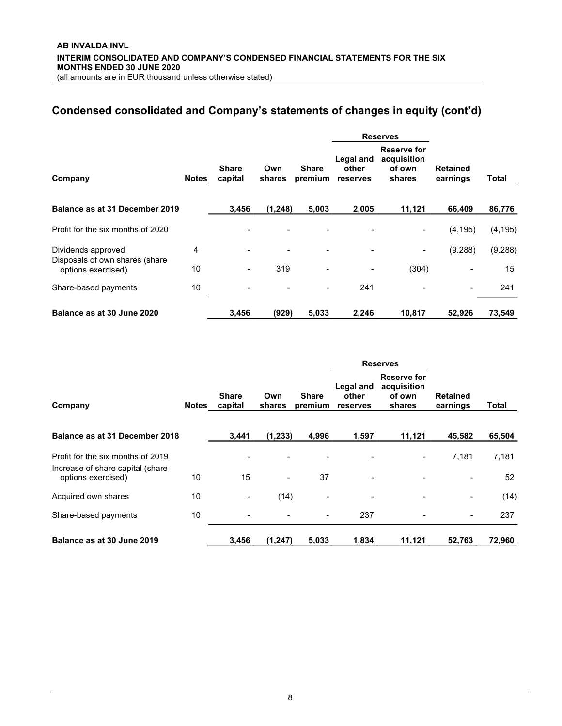# Condensed consolidated and Company's statements of changes in equity (cont'd)

|                                                      |       |                         |               |                          |                                | <b>Reserves</b>                                |                             |          |
|------------------------------------------------------|-------|-------------------------|---------------|--------------------------|--------------------------------|------------------------------------------------|-----------------------------|----------|
| Company                                              | Notes | <b>Share</b><br>capital | Own<br>shares | <b>Share</b><br>premium  | Legal and<br>other<br>reserves | Reserve for<br>acquisition<br>of own<br>shares | <b>Retained</b><br>earnings | Total    |
| Balance as at 31 December 2019                       |       | 3,456                   | (1, 248)      | 5,003                    | 2,005                          | 11,121                                         | 66,409                      | 86,776   |
| Profit for the six months of 2020                    |       |                         |               |                          |                                |                                                | (4, 195)                    | (4, 195) |
| Dividends approved<br>Disposals of own shares (share | 4     |                         |               |                          | -                              |                                                | (9.288)                     | (9.288)  |
| options exercised)                                   | 10    |                         | 319           |                          | -                              | (304)                                          | $\overline{\phantom{0}}$    | 15       |
| Share-based payments                                 | 10    |                         |               | $\overline{\phantom{a}}$ | 241                            |                                                | $\overline{\phantom{a}}$    | 241      |
| Balance as at 30 June 2020                           |       | 3,456                   | (929)         | 5,033                    | 2,246                          | 10,817                                         | 52,926                      | 73,549   |

|                                                                                             |       |                          |                          |                          |                                | <b>Reserves</b>                                |                             |             |
|---------------------------------------------------------------------------------------------|-------|--------------------------|--------------------------|--------------------------|--------------------------------|------------------------------------------------|-----------------------------|-------------|
| Company                                                                                     | Notes | <b>Share</b><br>capital  | Own<br>shares            | <b>Share</b><br>premium  | Legal and<br>other<br>reserves | Reserve for<br>acquisition<br>of own<br>shares | <b>Retained</b><br>earnings | Total       |
| Balance as at 31 December 2018                                                              |       | 3,441                    | (1, 233)                 | 4,996                    | 1,597                          | 11,121                                         | 45,582                      | 65,504      |
| Profit for the six months of 2019<br>Increase of share capital (share<br>options exercised) | 10    | 15                       | $\overline{\phantom{a}}$ | 37                       | $\qquad \qquad \blacksquare$   |                                                | 7,181<br>$\blacksquare$     | 7,181<br>52 |
| Acquired own shares                                                                         | 10    | $\overline{\phantom{a}}$ | (14)                     | $\overline{\phantom{a}}$ | $\overline{\phantom{0}}$       |                                                | $\blacksquare$              | (14)        |
| Share-based payments                                                                        | 10    |                          |                          | $\overline{\phantom{a}}$ | 237                            |                                                | $\blacksquare$              | 237         |
| Balance as at 30 June 2019                                                                  |       | 3,456                    | (1, 247)                 | 5,033                    | 1,834                          | 11,121                                         | 52.763                      | 72,960      |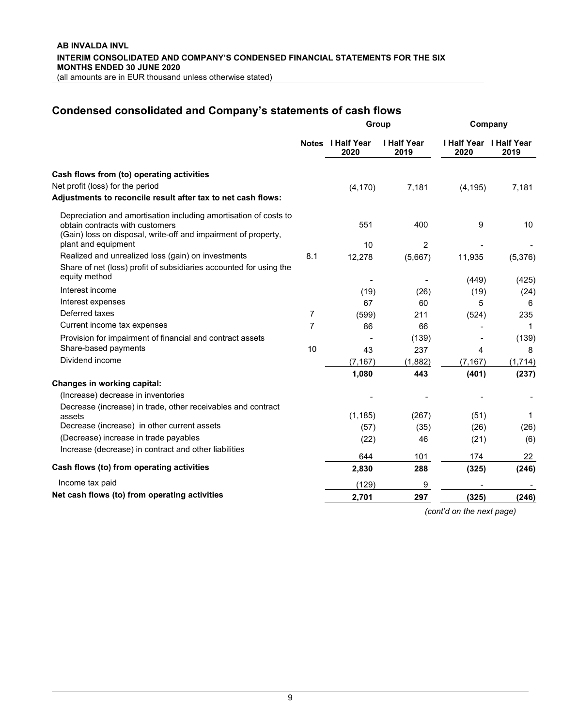# Condensed consolidated and Company's statements of cash flows

|                                                                                                                                                                       | Group          |                           |                            | Company  |                                 |  |
|-----------------------------------------------------------------------------------------------------------------------------------------------------------------------|----------------|---------------------------|----------------------------|----------|---------------------------------|--|
|                                                                                                                                                                       |                | Notes I Half Year<br>2020 | <b>I Half Year</b><br>2019 | 2020     | I Half Year I Half Year<br>2019 |  |
| Cash flows from (to) operating activities                                                                                                                             |                |                           |                            |          |                                 |  |
| Net profit (loss) for the period                                                                                                                                      |                | (4, 170)                  | 7,181                      | (4, 195) | 7,181                           |  |
| Adjustments to reconcile result after tax to net cash flows:                                                                                                          |                |                           |                            |          |                                 |  |
| Depreciation and amortisation including amortisation of costs to<br>obtain contracts with customers<br>(Gain) loss on disposal, write-off and impairment of property, |                | 551                       | 400                        | 9        | 10                              |  |
| plant and equipment                                                                                                                                                   |                | 10                        | $\overline{2}$             |          |                                 |  |
| Realized and unrealized loss (gain) on investments                                                                                                                    | 8.1            | 12,278                    | (5,667)                    | 11,935   | (5,376)                         |  |
| Share of net (loss) profit of subsidiaries accounted for using the                                                                                                    |                |                           |                            |          |                                 |  |
| equity method                                                                                                                                                         |                |                           |                            | (449)    | (425)                           |  |
| Interest income                                                                                                                                                       |                | (19)                      | (26)                       | (19)     | (24)                            |  |
| Interest expenses                                                                                                                                                     |                | 67                        | 60                         | 5        | 6                               |  |
| Deferred taxes                                                                                                                                                        | 7              | (599)                     | 211                        | (524)    | 235                             |  |
| Current income tax expenses                                                                                                                                           | $\overline{7}$ | 86                        | 66                         |          | 1                               |  |
| Provision for impairment of financial and contract assets                                                                                                             |                |                           | (139)                      |          | (139)                           |  |
| Share-based payments                                                                                                                                                  | 10             | 43                        | 237                        | 4        | 8                               |  |
| Dividend income                                                                                                                                                       |                | (7, 167)                  | (1,882)                    | (7, 167) | (1,714)                         |  |
|                                                                                                                                                                       |                | 1,080                     | 443                        | (401)    | (237)                           |  |
| Changes in working capital:                                                                                                                                           |                |                           |                            |          |                                 |  |
| (Increase) decrease in inventories                                                                                                                                    |                |                           |                            |          |                                 |  |
| Decrease (increase) in trade, other receivables and contract                                                                                                          |                |                           |                            |          |                                 |  |
| assets<br>Decrease (increase) in other current assets                                                                                                                 |                | (1, 185)                  | (267)                      | (51)     | 1                               |  |
| (Decrease) increase in trade payables                                                                                                                                 |                | (57)                      | (35)                       | (26)     | (26)                            |  |
| Increase (decrease) in contract and other liabilities                                                                                                                 |                | (22)                      | 46                         | (21)     | (6)                             |  |
|                                                                                                                                                                       |                | 644                       | 101                        | 174      | 22                              |  |
| Cash flows (to) from operating activities                                                                                                                             |                | 2,830                     | 288                        | (325)    | (246)                           |  |
| Income tax paid                                                                                                                                                       |                | (129)                     | 9                          |          |                                 |  |
| Net cash flows (to) from operating activities                                                                                                                         |                | 2,701                     | 297                        | (325)    | (246)                           |  |
|                                                                                                                                                                       |                |                           |                            |          |                                 |  |

(cont'd on the next page)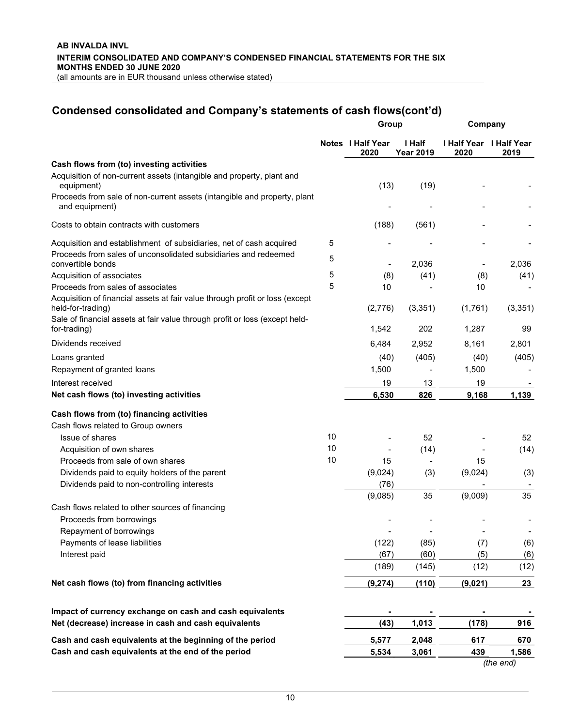# Condensed consolidated and Company's statements of cash flows(cont'd)

|                                                                                                                                                             | Group  |                           |                            | Company                                |           |  |
|-------------------------------------------------------------------------------------------------------------------------------------------------------------|--------|---------------------------|----------------------------|----------------------------------------|-----------|--|
|                                                                                                                                                             |        | Notes I Half Year<br>2020 | I Half<br><b>Year 2019</b> | <b>I Half Year I Half Year</b><br>2020 | 2019      |  |
| Cash flows from (to) investing activities                                                                                                                   |        |                           |                            |                                        |           |  |
| Acquisition of non-current assets (intangible and property, plant and<br>equipment)                                                                         |        | (13)                      | (19)                       |                                        |           |  |
| Proceeds from sale of non-current assets (intangible and property, plant<br>and equipment)                                                                  |        |                           |                            |                                        |           |  |
| Costs to obtain contracts with customers                                                                                                                    |        | (188)                     | (561)                      |                                        |           |  |
| Acquisition and establishment of subsidiaries, net of cash acquired<br>Proceeds from sales of unconsolidated subsidiaries and redeemed<br>convertible bonds | 5<br>5 | $\overline{\phantom{a}}$  | 2,036                      |                                        | 2,036     |  |
| Acquisition of associates                                                                                                                                   | 5      | (8)                       | (41)                       | (8)                                    | (41)      |  |
| Proceeds from sales of associates<br>Acquisition of financial assets at fair value through profit or loss (except                                           | 5      | 10                        |                            | 10                                     |           |  |
| held-for-trading)<br>Sale of financial assets at fair value through profit or loss (except held-                                                            |        | (2,776)                   | (3, 351)                   | (1,761)                                | (3,351)   |  |
| for-trading)                                                                                                                                                |        | 1,542                     | 202                        | 1,287                                  | 99        |  |
| Dividends received                                                                                                                                          |        | 6,484                     | 2,952                      | 8,161                                  | 2,801     |  |
| Loans granted                                                                                                                                               |        | (40)                      | (405)                      | (40)                                   | (405)     |  |
| Repayment of granted loans                                                                                                                                  |        | 1,500                     |                            | 1,500                                  |           |  |
| Interest received                                                                                                                                           |        | 19                        | 13                         | 19                                     |           |  |
| Net cash flows (to) investing activities                                                                                                                    |        | 6,530                     | 826                        | 9,168                                  | 1,139     |  |
| Cash flows from (to) financing activities                                                                                                                   |        |                           |                            |                                        |           |  |
| Cash flows related to Group owners                                                                                                                          |        |                           |                            |                                        |           |  |
| Issue of shares                                                                                                                                             | 10     |                           | 52                         |                                        | 52        |  |
| Acquisition of own shares                                                                                                                                   | 10     |                           | (14)                       |                                        | (14)      |  |
| Proceeds from sale of own shares                                                                                                                            | 10     | 15                        | $\overline{\phantom{a}}$   | 15                                     |           |  |
| Dividends paid to equity holders of the parent                                                                                                              |        | (9,024)                   | (3)                        | (9,024)                                | (3)       |  |
| Dividends paid to non-controlling interests                                                                                                                 |        | (76)<br>(9,085)           | 35                         | (9,009)                                | 35        |  |
| Cash flows related to other sources of financing                                                                                                            |        |                           |                            |                                        |           |  |
| Proceeds from borrowings                                                                                                                                    |        |                           |                            |                                        |           |  |
| Repayment of borrowings                                                                                                                                     |        |                           |                            |                                        |           |  |
| Payments of lease liabilities                                                                                                                               |        | (122)                     | (85)                       | (7)                                    | (6)       |  |
| Interest paid                                                                                                                                               |        | (67)                      | (60)                       | (5)                                    | (6)       |  |
|                                                                                                                                                             |        | (189)                     | (145)                      | (12)                                   | (12)      |  |
| Net cash flows (to) from financing activities                                                                                                               |        | (9, 274)                  | (110)                      | (9,021)                                | 23        |  |
| Impact of currency exchange on cash and cash equivalents                                                                                                    |        |                           |                            |                                        |           |  |
| Net (decrease) increase in cash and cash equivalents                                                                                                        |        | (43)                      | 1,013                      | (178)                                  | 916       |  |
| Cash and cash equivalents at the beginning of the period                                                                                                    |        | 5,577                     | 2,048                      | 617                                    | 670       |  |
| Cash and cash equivalents at the end of the period                                                                                                          |        | 5,534                     | 3,061                      | 439                                    | 1,586     |  |
|                                                                                                                                                             |        |                           |                            |                                        | (the end) |  |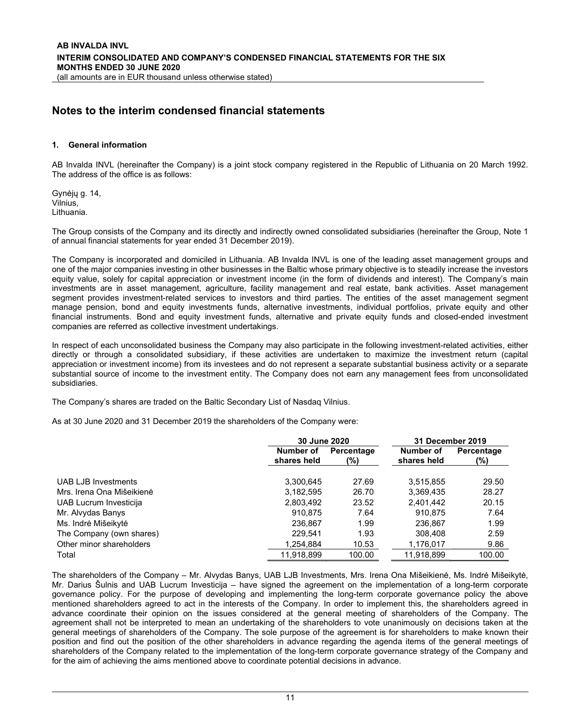### Notes to the interim condensed financial statements

#### 1. General information

AB Invalda INVL (hereinafter the Company) is a joint stock company registered in the Republic of Lithuania on 20 March 1992. The address of the office is as follows:

Gynėjų g. 14, Vilnius, Lithuania.

The Group consists of the Company and its directly and indirectly owned consolidated subsidiaries (hereinafter the Group, Note 1 of annual financial statements for year ended 31 December 2019).

The Company is incorporated and domiciled in Lithuania. AB Invalda INVL is one of the leading asset management groups and one of the major companies investing in other businesses in the Baltic whose primary objective is to steadily increase the investors equity value, solely for capital appreciation or investment income (in the form of dividends and interest). The Company's main investments are in asset management, agriculture, facility management and real estate, bank activities. Asset management segment provides investment-related services to investors and third parties. The entities of the asset management segment manage pension, bond and equity investments funds, alternative investments, individual portfolios, private equity and other financial instruments. Bond and equity investment funds, alternative and private equity funds and closed-ended investment companies are referred as collective investment undertakings.

In respect of each unconsolidated business the Company may also participate in the following investment-related activities, either directly or through a consolidated subsidiary, if these activities are undertaken to maximize the investment return (capital appreciation or investment income) from its investees and do not represent a separate substantial business activity or a separate substantial source of income to the investment entity. The Company does not earn any management fees from unconsolidated subsidiaries.

The Company's shares are traded on the Baltic Secondary List of Nasdaq Vilnius.

As at 30 June 2020 and 31 December 2019 the shareholders of the Company were:

|                           | 30 June 2020             |                   | 31 December 2019         |                   |  |
|---------------------------|--------------------------|-------------------|--------------------------|-------------------|--|
|                           | Number of<br>shares held | Percentage<br>(%) | Number of<br>shares held | Percentage<br>(%) |  |
| UAB LJB Investments       | 3,300,645                | 27.69             | 3,515,855                | 29.50             |  |
| Mrs. Irena Ona Mišeikienė | 3,182,595                | 26.70             | 3,369,435                | 28.27             |  |
| UAB Lucrum Investicija    | 2,803,492                | 23.52             | 2,401,442                | 20.15             |  |
| Mr. Alvydas Banys         | 910.875                  | 7.64              | 910.875                  | 7.64              |  |
| Ms. Indrė Mišeikytė       | 236.867                  | 1.99              | 236.867                  | 1.99              |  |
| The Company (own shares)  | 229.541                  | 1.93              | 308,408                  | 2.59              |  |
| Other minor shareholders  | 1,254,884                | 10.53             | 1,176,017                | 9.86              |  |
| Total                     | 11.918.899               | 100.00            | 11.918.899               | 100.00            |  |

The shareholders of the Company – Mr. Alvydas Banys, UAB LJB Investments, Mrs. Irena Ona Mišeikienė, Ms. Indrė Mišeikytė, Mr. Darius Šulnis and UAB Lucrum Investicija – have signed the agreement on the implementation of a long-term corporate governance policy. For the purpose of developing and implementing the long-term corporate governance policy the above mentioned shareholders agreed to act in the interests of the Company. In order to implement this, the shareholders agreed in advance coordinate their opinion on the issues considered at the general meeting of shareholders of the Company. The agreement shall not be interpreted to mean an undertaking of the shareholders to vote unanimously on decisions taken at the general meetings of shareholders of the Company. The sole purpose of the agreement is for shareholders to make known their position and find out the position of the other shareholders in advance regarding the agenda items of the general meetings of shareholders of the Company related to the implementation of the long-term corporate governance strategy of the Company and for the aim of achieving the aims mentioned above to coordinate potential decisions in advance.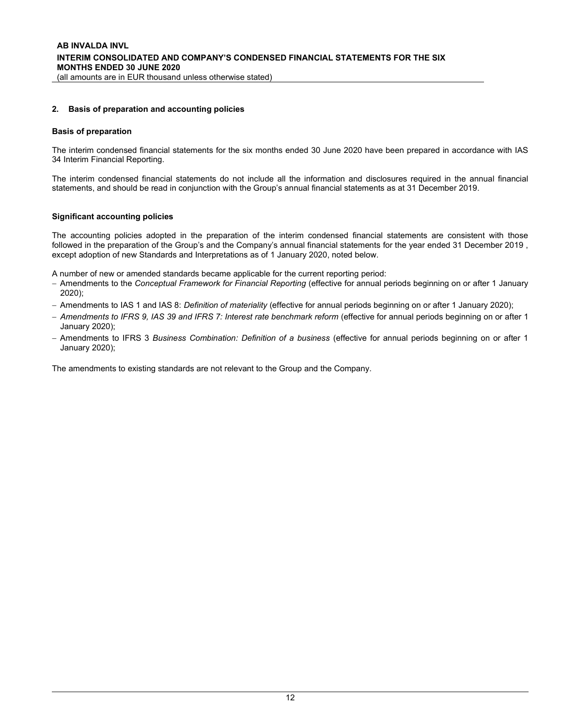#### 2. Basis of preparation and accounting policies

#### Basis of preparation

The interim condensed financial statements for the six months ended 30 June 2020 have been prepared in accordance with IAS 34 Interim Financial Reporting.

The interim condensed financial statements do not include all the information and disclosures required in the annual financial statements, and should be read in conjunction with the Group's annual financial statements as at 31 December 2019.

#### Significant accounting policies

The accounting policies adopted in the preparation of the interim condensed financial statements are consistent with those followed in the preparation of the Group's and the Company's annual financial statements for the year ended 31 December 2019 , except adoption of new Standards and Interpretations as of 1 January 2020, noted below.

A number of new or amended standards became applicable for the current reporting period:

- Amendments to the Conceptual Framework for Financial Reporting (effective for annual periods beginning on or after 1 January 2020);
- Amendments to IAS 1 and IAS 8: Definition of materiality (effective for annual periods beginning on or after 1 January 2020);
- Amendments to IFRS 9, IAS 39 and IFRS 7: Interest rate benchmark reform (effective for annual periods beginning on or after 1 January 2020);
- Amendments to IFRS 3 Business Combination: Definition of a business (effective for annual periods beginning on or after 1 January 2020);

The amendments to existing standards are not relevant to the Group and the Company.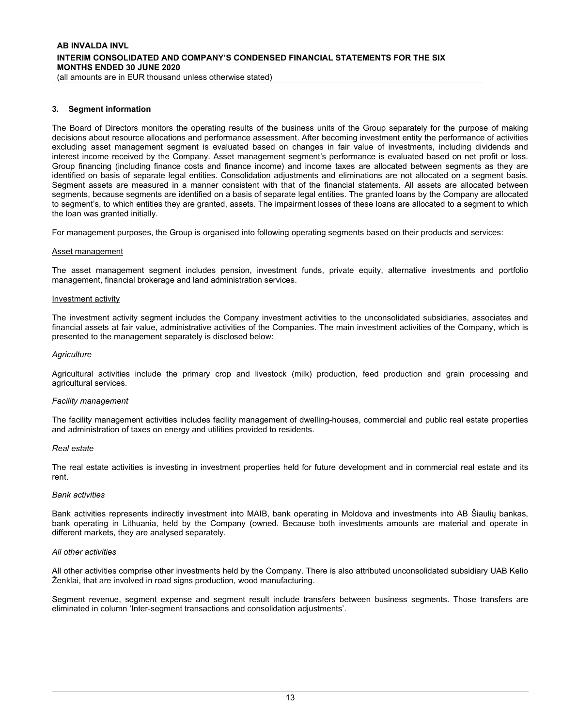#### 3. Segment information

The Board of Directors monitors the operating results of the business units of the Group separately for the purpose of making decisions about resource allocations and performance assessment. After becoming investment entity the performance of activities excluding asset management segment is evaluated based on changes in fair value of investments, including dividends and interest income received by the Company. Asset management segment's performance is evaluated based on net profit or loss. Group financing (including finance costs and finance income) and income taxes are allocated between segments as they are identified on basis of separate legal entities. Consolidation adjustments and eliminations are not allocated on a segment basis. Segment assets are measured in a manner consistent with that of the financial statements. All assets are allocated between segments, because segments are identified on a basis of separate legal entities. The granted loans by the Company are allocated to segment's, to which entities they are granted, assets. The impairment losses of these loans are allocated to a segment to which the loan was granted initially.

For management purposes, the Group is organised into following operating segments based on their products and services:

#### Asset management

The asset management segment includes pension, investment funds, private equity, alternative investments and portfolio management, financial brokerage and land administration services.

#### Investment activity

The investment activity segment includes the Company investment activities to the unconsolidated subsidiaries, associates and financial assets at fair value, administrative activities of the Companies. The main investment activities of the Company, which is presented to the management separately is disclosed below:

#### **Agriculture**

Agricultural activities include the primary crop and livestock (milk) production, feed production and grain processing and agricultural services.

#### Facility management

The facility management activities includes facility management of dwelling-houses, commercial and public real estate properties and administration of taxes on energy and utilities provided to residents.

#### Real estate

The real estate activities is investing in investment properties held for future development and in commercial real estate and its rent.

#### Bank activities

Bank activities represents indirectly investment into MAIB, bank operating in Moldova and investments into AB Šiaulių bankas, bank operating in Lithuania, held by the Company (owned. Because both investments amounts are material and operate in different markets, they are analysed separately.

#### All other activities

All other activities comprise other investments held by the Company. There is also attributed unconsolidated subsidiary UAB Kelio Ženklai, that are involved in road signs production, wood manufacturing.

Segment revenue, segment expense and segment result include transfers between business segments. Those transfers are eliminated in column 'Inter-segment transactions and consolidation adjustments'.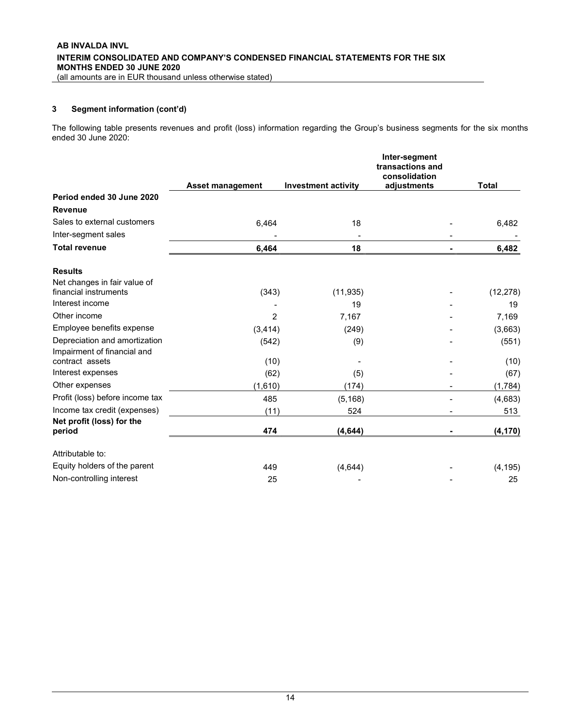#### 3 Segment information (cont'd)

The following table presents revenues and profit (loss) information regarding the Group's business segments for the six months ended 30 June 2020:

|                                     |                         |                            | Inter-segment<br>transactions and<br>consolidation |              |
|-------------------------------------|-------------------------|----------------------------|----------------------------------------------------|--------------|
|                                     | <b>Asset management</b> | <b>Investment activity</b> | adjustments                                        | <b>Total</b> |
| Period ended 30 June 2020           |                         |                            |                                                    |              |
| <b>Revenue</b>                      |                         |                            |                                                    |              |
| Sales to external customers         | 6,464                   | 18                         |                                                    | 6,482        |
| Inter-segment sales                 |                         |                            |                                                    |              |
| <b>Total revenue</b>                | 6,464                   | 18                         |                                                    | 6,482        |
| <b>Results</b>                      |                         |                            |                                                    |              |
| Net changes in fair value of        |                         |                            |                                                    |              |
| financial instruments               | (343)                   | (11, 935)                  |                                                    | (12, 278)    |
| Interest income                     |                         | 19                         |                                                    | 19           |
| Other income                        | $\overline{2}$          | 7,167                      |                                                    | 7,169        |
| Employee benefits expense           | (3, 414)                | (249)                      |                                                    | (3,663)      |
| Depreciation and amortization       | (542)                   | (9)                        |                                                    | (551)        |
| Impairment of financial and         |                         |                            |                                                    |              |
| contract assets                     | (10)                    |                            |                                                    | (10)         |
| Interest expenses                   | (62)                    | (5)                        |                                                    | (67)         |
| Other expenses                      | (1,610)                 | (174)                      |                                                    | (1,784)      |
| Profit (loss) before income tax     | 485                     | (5, 168)                   |                                                    | (4,683)      |
| Income tax credit (expenses)        | (11)                    | 524                        | -                                                  | 513          |
| Net profit (loss) for the<br>period | 474                     | (4, 644)                   |                                                    | (4, 170)     |
| Attributable to:                    |                         |                            |                                                    |              |
| Equity holders of the parent        | 449                     | (4,644)                    |                                                    | (4, 195)     |
| Non-controlling interest            | 25                      |                            |                                                    | 25           |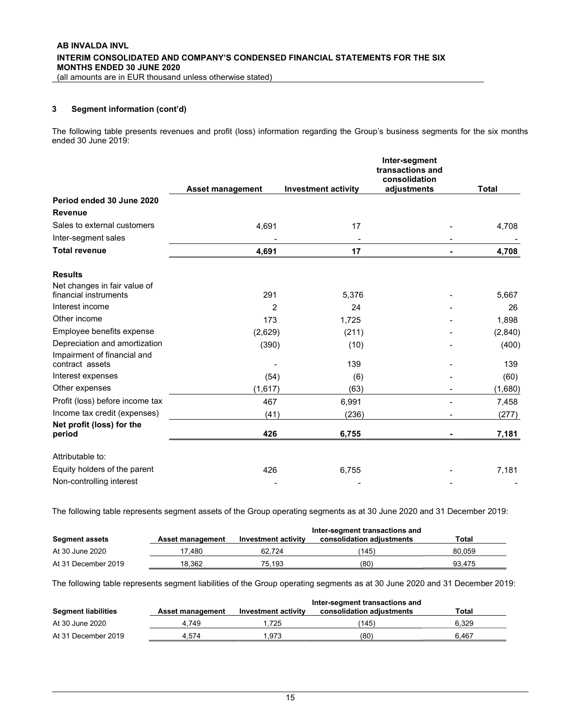### 3 Segment information (cont'd)

The following table presents revenues and profit (loss) information regarding the Group's business segments for the six months ended 30 June 2019:

|                                                       |                         |                            | Inter-segment<br>transactions and<br>consolidation |              |
|-------------------------------------------------------|-------------------------|----------------------------|----------------------------------------------------|--------------|
|                                                       | <b>Asset management</b> | <b>Investment activity</b> | adjustments                                        | <b>Total</b> |
| Period ended 30 June 2020                             |                         |                            |                                                    |              |
| <b>Revenue</b>                                        |                         |                            |                                                    |              |
| Sales to external customers                           | 4,691                   | 17                         |                                                    | 4,708        |
| Inter-segment sales                                   |                         |                            |                                                    |              |
| <b>Total revenue</b>                                  | 4,691                   | 17                         |                                                    | 4,708        |
| <b>Results</b>                                        |                         |                            |                                                    |              |
| Net changes in fair value of<br>financial instruments | 291                     | 5,376                      |                                                    | 5,667        |
| Interest income                                       | $\overline{2}$          | 24                         |                                                    | 26           |
| Other income                                          | 173                     | 1,725                      |                                                    | 1,898        |
| Employee benefits expense                             | (2,629)                 | (211)                      |                                                    | (2,840)      |
| Depreciation and amortization                         | (390)                   | (10)                       |                                                    | (400)        |
| Impairment of financial and<br>contract assets        |                         | 139                        |                                                    | 139          |
| Interest expenses                                     | (54)                    | (6)                        |                                                    | (60)         |
| Other expenses                                        | (1,617)                 | (63)                       |                                                    | (1,680)      |
| Profit (loss) before income tax                       | 467                     | 6,991                      |                                                    | 7,458        |
| Income tax credit (expenses)                          | (41)                    | (236)                      |                                                    | (277)        |
| Net profit (loss) for the<br>period                   | 426                     | 6,755                      |                                                    | 7,181        |
| Attributable to:                                      |                         |                            |                                                    |              |
| Equity holders of the parent                          | 426                     | 6,755                      |                                                    | 7,181        |
| Non-controlling interest                              |                         |                            |                                                    |              |

The following table represents segment assets of the Group operating segments as at 30 June 2020 and 31 December 2019:

|                       |                  | Inter-segment transactions and |                           |        |  |  |  |
|-----------------------|------------------|--------------------------------|---------------------------|--------|--|--|--|
| <b>Segment assets</b> | Asset management | <b>Investment activity</b>     | consolidation adiustments | Total  |  |  |  |
| At 30 June 2020       | 7.480            | 62.724                         | (145)                     | 80.059 |  |  |  |
| At 31 December 2019   | 18.362           | 75.193                         | (80)                      | 93.475 |  |  |  |

The following table represents segment liabilities of the Group operating segments as at 30 June 2020 and 31 December 2019:

|                            |                  |                     | Inter-segment transactions and |       |
|----------------------------|------------------|---------------------|--------------------------------|-------|
| <b>Segment liabilities</b> | Asset management | Investment activity | consolidation adjustments      | Total |
| At 30 June 2020            | 4.749            | .725                | (145)                          | 6.329 |
| At 31 December 2019        | 4.574            | .973                | (80)                           | 6.467 |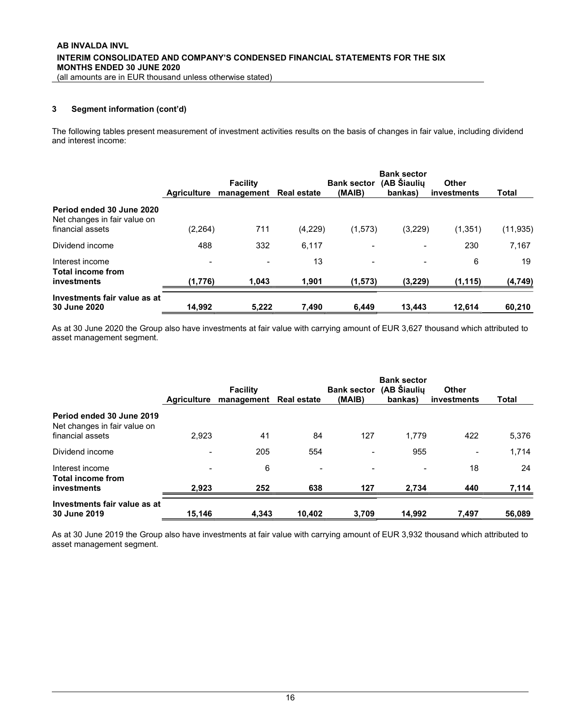### 3 Segment information (cont'd)

The following tables present measurement of investment activities results on the basis of changes in fair value, including dividend and interest income:

|                                                                               | <b>Agriculture</b>                  | <b>Facility</b><br>management | <b>Real estate</b> | <b>Bank sector</b><br>(MAIB) | <b>Bank sector</b><br>(AB Šiaulių<br>bankas) | Other<br>investments | Total          |
|-------------------------------------------------------------------------------|-------------------------------------|-------------------------------|--------------------|------------------------------|----------------------------------------------|----------------------|----------------|
| Period ended 30 June 2020<br>Net changes in fair value on<br>financial assets | (2, 264)                            | 711                           | (4,229)            | (1, 573)                     | (3,229)                                      | (1, 351)             | (11, 935)      |
| Dividend income                                                               | 488                                 | 332                           | 6,117              |                              |                                              | 230                  | 7,167          |
| Interest income<br>Total income from<br>investments                           | $\overline{\phantom{a}}$<br>(1,776) | 1,043                         | 13<br>1,901        | (1, 573)                     | (3,229)                                      | 6<br>(1, 115)        | 19<br>(4, 749) |
| Investments fair value as at<br>30 June 2020                                  | 14,992                              | 5,222                         | 7,490              | 6,449                        | 13,443                                       | 12,614               | 60,210         |

As at 30 June 2020 the Group also have investments at fair value with carrying amount of EUR 3,627 thousand which attributed to asset management segment.

|                                                                               |                          | <b>Facility</b> |                    | <b>Bank sector</b> | <b>Bank sector</b><br>(AB Šiaulių | Other                    |        |
|-------------------------------------------------------------------------------|--------------------------|-----------------|--------------------|--------------------|-----------------------------------|--------------------------|--------|
|                                                                               | Aariculture              | management      | <b>Real estate</b> | (MAIB)             | bankas)                           | investments              | Total  |
| Period ended 30 June 2019<br>Net changes in fair value on<br>financial assets | 2.923                    | 41              | 84                 | 127                | 1.779                             | 422                      | 5,376  |
| Dividend income                                                               | $\overline{\phantom{a}}$ | 205             | 554                |                    | 955                               | $\overline{\phantom{0}}$ | 1,714  |
| Interest income<br><b>Total income from</b>                                   | $\,$                     | 6               | $\qquad \qquad$    |                    | $\,$                              | 18                       | 24     |
| investments                                                                   | 2.923                    | 252             | 638                | 127                | 2.734                             | 440                      | 7,114  |
| Investments fair value as at<br>30 June 2019                                  | 15.146                   | 4.343           | 10.402             | 3.709              | 14.992                            | 7.497                    | 56,089 |

As at 30 June 2019 the Group also have investments at fair value with carrying amount of EUR 3,932 thousand which attributed to asset management segment.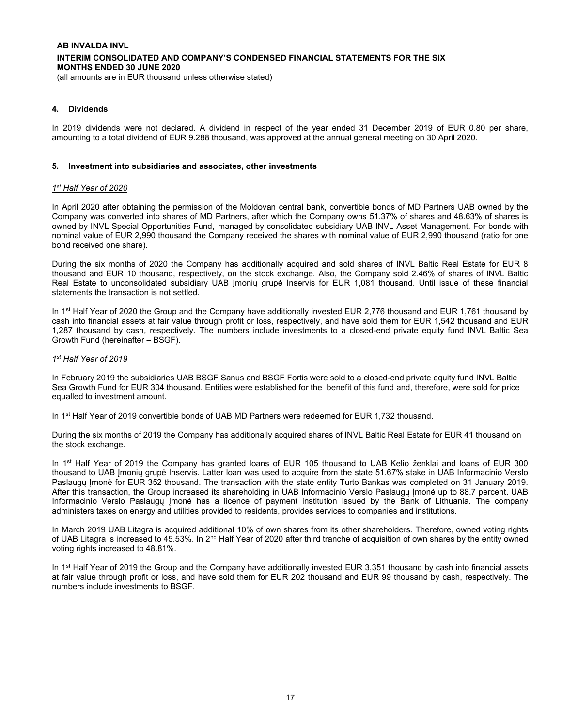#### 4. Dividends

In 2019 dividends were not declared. A dividend in respect of the year ended 31 December 2019 of EUR 0.80 per share, amounting to a total dividend of EUR 9.288 thousand, was approved at the annual general meeting on 30 April 2020.

#### 5. Investment into subsidiaries and associates, other investments

#### 1st Half Year of 2020

In April 2020 after obtaining the permission of the Moldovan central bank, convertible bonds of MD Partners UAB owned by the Company was converted into shares of MD Partners, after which the Company owns 51.37% of shares and 48.63% of shares is owned by INVL Special Opportunities Fund, managed by consolidated subsidiary UAB INVL Asset Management. For bonds with nominal value of EUR 2,990 thousand the Company received the shares with nominal value of EUR 2,990 thousand (ratio for one bond received one share).

During the six months of 2020 the Company has additionally acquired and sold shares of INVL Baltic Real Estate for EUR 8 thousand and EUR 10 thousand, respectively, on the stock exchange. Also, the Company sold 2.46% of shares of INVL Baltic Real Estate to unconsolidated subsidiary UAB Įmonių grupė Inservis for EUR 1,081 thousand. Until issue of these financial statements the transaction is not settled.

In 1<sup>st</sup> Half Year of 2020 the Group and the Company have additionally invested EUR 2,776 thousand and EUR 1,761 thousand by cash into financial assets at fair value through profit or loss, respectively, and have sold them for EUR 1,542 thousand and EUR 1,287 thousand by cash, respectively. The numbers include investments to a closed-end private equity fund INVL Baltic Sea Growth Fund (hereinafter – BSGF).

#### 1st Half Year of 2019

In February 2019 the subsidiaries UAB BSGF Sanus and BSGF Fortis were sold to a closed-end private equity fund INVL Baltic Sea Growth Fund for EUR 304 thousand. Entities were established for the benefit of this fund and, therefore, were sold for price equalled to investment amount.

In 1<sup>st</sup> Half Year of 2019 convertible bonds of UAB MD Partners were redeemed for EUR 1,732 thousand.

During the six months of 2019 the Company has additionally acquired shares of INVL Baltic Real Estate for EUR 41 thousand on the stock exchange.

In 1<sup>st</sup> Half Year of 2019 the Company has granted loans of EUR 105 thousand to UAB Kelio ženklai and loans of EUR 300 thousand to UAB Įmonių grupė Inservis. Latter loan was used to acquire from the state 51.67% stake in UAB Informacinio Verslo Paslaugų Įmonė for EUR 352 thousand. The transaction with the state entity Turto Bankas was completed on 31 January 2019. After this transaction, the Group increased its shareholding in UAB Informacinio Verslo Paslaugų Įmonė up to 88.7 percent. UAB Informacinio Verslo Paslaugu Imonė has a licence of payment institution issued by the Bank of Lithuania. The company administers taxes on energy and utilities provided to residents, provides services to companies and institutions.

In March 2019 UAB Litagra is acquired additional 10% of own shares from its other shareholders. Therefore, owned voting rights of UAB Litagra is increased to 45.53%. In 2<sup>nd</sup> Half Year of 2020 after third tranche of acquisition of own shares by the entity owned voting rights increased to 48.81%.

In 1<sup>st</sup> Half Year of 2019 the Group and the Company have additionally invested EUR 3,351 thousand by cash into financial assets at fair value through profit or loss, and have sold them for EUR 202 thousand and EUR 99 thousand by cash, respectively. The numbers include investments to BSGF.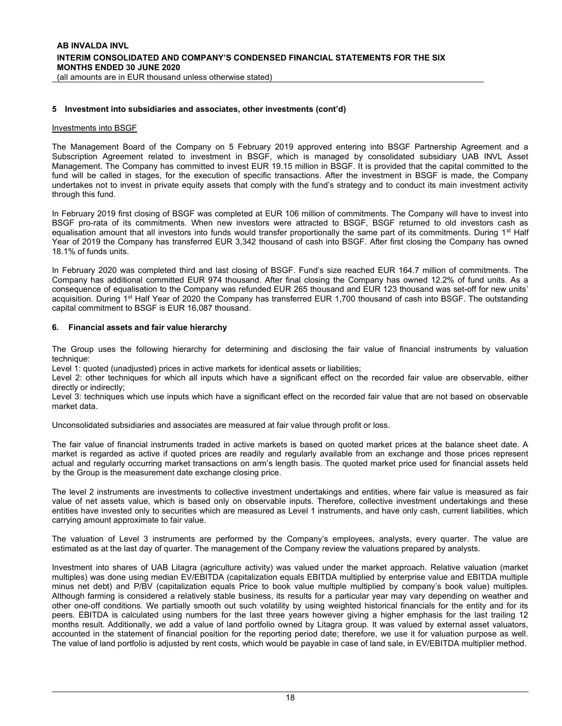#### 5 Investment into subsidiaries and associates, other investments (cont'd)

#### Investments into BSGF

The Management Board of the Company on 5 February 2019 approved entering into BSGF Partnership Agreement and a Subscription Agreement related to investment in BSGF, which is managed by consolidated subsidiary UAB INVL Asset Management. The Company has committed to invest EUR 19.15 million in BSGF. It is provided that the capital committed to the fund will be called in stages, for the execution of specific transactions. After the investment in BSGF is made, the Company undertakes not to invest in private equity assets that comply with the fund's strategy and to conduct its main investment activity through this fund.

In February 2019 first closing of BSGF was completed at EUR 106 million of commitments. The Company will have to invest into BSGF pro-rata of its commitments. When new investors were attracted to BSGF, BSGF returned to old investors cash as equalisation amount that all investors into funds would transfer proportionally the same part of its commitments. During  $1<sup>st</sup>$  Half Year of 2019 the Company has transferred EUR 3,342 thousand of cash into BSGF. After first closing the Company has owned 18.1% of funds units.

In February 2020 was completed third and last closing of BSGF. Fund's size reached EUR 164.7 million of commitments. The Company has additional committed EUR 974 thousand. After final closing the Company has owned 12.2% of fund units. As a consequence of equalisation to the Company was refunded EUR 265 thousand and EUR 123 thousand was set-off for new units' acquisition. During 1<sup>st</sup> Half Year of 2020 the Company has transferred EUR 1,700 thousand of cash into BSGF. The outstanding capital commitment to BSGF is EUR 16,087 thousand.

#### 6. Financial assets and fair value hierarchy

The Group uses the following hierarchy for determining and disclosing the fair value of financial instruments by valuation technique:

Level 1: quoted (unadjusted) prices in active markets for identical assets or liabilities;

Level 2: other techniques for which all inputs which have a significant effect on the recorded fair value are observable, either directly or indirectly;

Level 3: techniques which use inputs which have a significant effect on the recorded fair value that are not based on observable market data.

Unconsolidated subsidiaries and associates are measured at fair value through profit or loss.

The fair value of financial instruments traded in active markets is based on quoted market prices at the balance sheet date. A market is regarded as active if quoted prices are readily and regularly available from an exchange and those prices represent actual and regularly occurring market transactions on arm's length basis. The quoted market price used for financial assets held by the Group is the measurement date exchange closing price.

The level 2 instruments are investments to collective investment undertakings and entities, where fair value is measured as fair value of net assets value, which is based only on observable inputs. Therefore, collective investment undertakings and these entities have invested only to securities which are measured as Level 1 instruments, and have only cash, current liabilities, which carrying amount approximate to fair value.

The valuation of Level 3 instruments are performed by the Company's employees, analysts, every quarter. The value are estimated as at the last day of quarter. The management of the Company review the valuations prepared by analysts.

Investment into shares of UAB Litagra (agriculture activity) was valued under the market approach. Relative valuation (market multiples) was done using median EV/EBITDA (capitalization equals EBITDA multiplied by enterprise value and EBITDA multiple minus net debt) and P/BV (capitalization equals Price to book value multiple multiplied by company's book value) multiples. Although farming is considered a relatively stable business, its results for a particular year may vary depending on weather and other one-off conditions. We partially smooth out such volatility by using weighted historical financials for the entity and for its peers. EBITDA is calculated using numbers for the last three years however giving a higher emphasis for the last trailing 12 months result. Additionally, we add a value of land portfolio owned by Litagra group. It was valued by external asset valuators, accounted in the statement of financial position for the reporting period date; therefore, we use it for valuation purpose as well. The value of land portfolio is adjusted by rent costs, which would be payable in case of land sale, in EV/EBITDA multiplier method.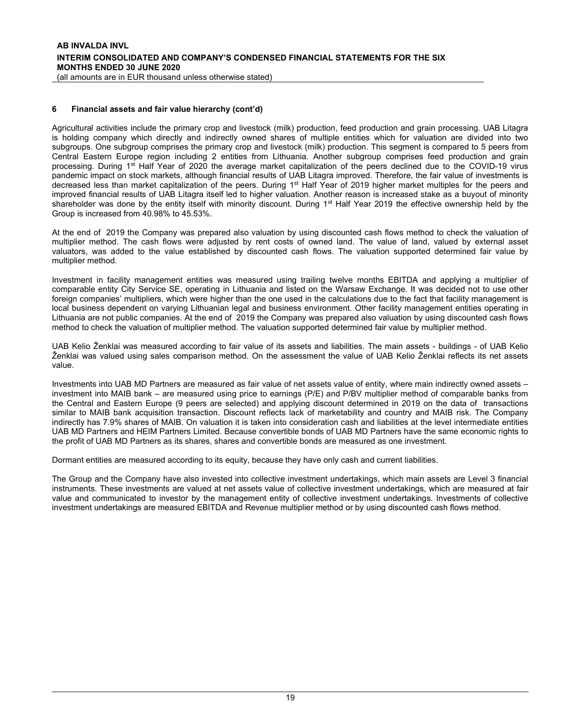Agricultural activities include the primary crop and livestock (milk) production, feed production and grain processing. UAB Litagra is holding company which directly and indirectly owned shares of multiple entities which for valuation are divided into two subgroups. One subgroup comprises the primary crop and livestock (milk) production. This segment is compared to 5 peers from Central Eastern Europe region including 2 entities from Lithuania. Another subgroup comprises feed production and grain processing. During 1<sup>st</sup> Half Year of 2020 the average market capitalization of the peers declined due to the COVID-19 virus pandemic impact on stock markets, although financial results of UAB Litagra improved. Therefore, the fair value of investments is decreased less than market capitalization of the peers. During 1st Half Year of 2019 higher market multiples for the peers and improved financial results of UAB Litagra itself led to higher valuation. Another reason is increased stake as a buyout of minority shareholder was done by the entity itself with minority discount. During 1<sup>st</sup> Half Year 2019 the effective ownership held by the Group is increased from 40.98% to 45.53%.

At the end of 2019 the Company was prepared also valuation by using discounted cash flows method to check the valuation of multiplier method. The cash flows were adjusted by rent costs of owned land. The value of land, valued by external asset valuators, was added to the value established by discounted cash flows. The valuation supported determined fair value by multiplier method.

Investment in facility management entities was measured using trailing twelve months EBITDA and applying a multiplier of comparable entity City Service SE, operating in Lithuania and listed on the Warsaw Exchange. It was decided not to use other foreign companies' multipliers, which were higher than the one used in the calculations due to the fact that facility management is local business dependent on varying Lithuanian legal and business environment. Other facility management entities operating in Lithuania are not public companies. At the end of 2019 the Company was prepared also valuation by using discounted cash flows method to check the valuation of multiplier method. The valuation supported determined fair value by multiplier method.

UAB Kelio Ženklai was measured according to fair value of its assets and liabilities. The main assets - buildings - of UAB Kelio Ženklai was valued using sales comparison method. On the assessment the value of UAB Kelio Ženklai reflects its net assets value.

Investments into UAB MD Partners are measured as fair value of net assets value of entity, where main indirectly owned assets – investment into MAIB bank – are measured using price to earnings (P/E) and P/BV multiplier method of comparable banks from the Central and Eastern Europe (9 peers are selected) and applying discount determined in 2019 on the data of transactions similar to MAIB bank acquisition transaction. Discount reflects lack of marketability and country and MAIB risk. The Company indirectly has 7.9% shares of MAIB. On valuation it is taken into consideration cash and liabilities at the level intermediate entities UAB MD Partners and HEIM Partners Limited. Because convertible bonds of UAB MD Partners have the same economic rights to the profit of UAB MD Partners as its shares, shares and convertible bonds are measured as one investment.

Dormant entities are measured according to its equity, because they have only cash and current liabilities.

The Group and the Company have also invested into collective investment undertakings, which main assets are Level 3 financial instruments. These investments are valued at net assets value of collective investment undertakings, which are measured at fair value and communicated to investor by the management entity of collective investment undertakings. Investments of collective investment undertakings are measured EBITDA and Revenue multiplier method or by using discounted cash flows method.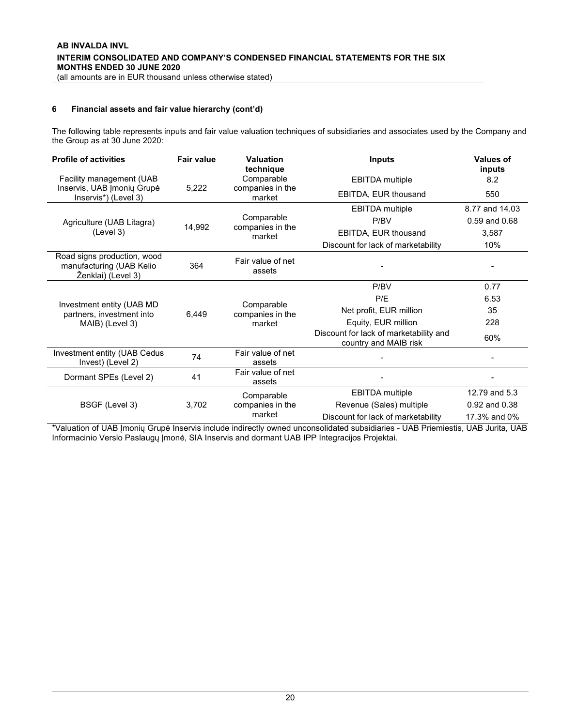The following table represents inputs and fair value valuation techniques of subsidiaries and associates used by the Company and the Group as at 30 June 2020:

| <b>Profile of activities</b>                                                  | <b>Fair value</b> | Valuation<br>technique         | <b>Inputs</b>                                                   | <b>Values of</b><br>inputs |
|-------------------------------------------------------------------------------|-------------------|--------------------------------|-----------------------------------------------------------------|----------------------------|
| Facility management (UAB                                                      |                   | Comparable                     | <b>EBITDA</b> multiple                                          | 8.2                        |
| Inservis, UAB Imonių Grupė<br>Inservis*) (Level 3)                            | 5,222             | companies in the<br>market     | EBITDA, EUR thousand                                            | 550                        |
|                                                                               |                   |                                | <b>EBITDA</b> multiple                                          | 8.77 and 14.03             |
| Agriculture (UAB Litagra)                                                     | 14,992            | Comparable<br>companies in the | P/BV                                                            | 0.59 and 0.68              |
| (Level 3)                                                                     |                   | market                         | EBITDA, EUR thousand                                            | 3,587                      |
|                                                                               |                   |                                | Discount for lack of marketability                              | 10%                        |
| Road signs production, wood<br>manufacturing (UAB Kelio<br>Ženklai) (Level 3) | 364               | Fair value of net<br>assets    |                                                                 |                            |
|                                                                               | 6,449             |                                | P/BV                                                            | 0.77                       |
|                                                                               |                   | Comparable                     | P/E                                                             | 6.53                       |
| Investment entity (UAB MD<br>partners, investment into                        |                   | companies in the               | Net profit, EUR million                                         | 35                         |
| MAIB) (Level 3)                                                               |                   | market                         | Equity, EUR million                                             | 228                        |
|                                                                               |                   |                                | Discount for lack of marketability and<br>country and MAIB risk | 60%                        |
| Investment entity (UAB Cedus<br>Invest) (Level 2)                             | 74                | Fair value of net<br>assets    |                                                                 |                            |
| Dormant SPEs (Level 2)                                                        | 41                | Fair value of net<br>assets    |                                                                 |                            |
|                                                                               |                   | Comparable                     | <b>EBITDA</b> multiple                                          | 12.79 and 5.3              |
| BSGF (Level 3)                                                                | 3,702             | companies in the               | Revenue (Sales) multiple                                        | 0.92 and 0.38              |
|                                                                               |                   | market                         | Discount for lack of marketability                              | 17.3% and 0%               |

\*Valuation of UAB Įmonių Grupė Inservis include indirectly owned unconsolidated subsidiaries - UAB Priemiestis, UAB Jurita, UAB Informacinio Verslo Paslaugų Įmonė, SIA Inservis and dormant UAB IPP Integracijos Projektai.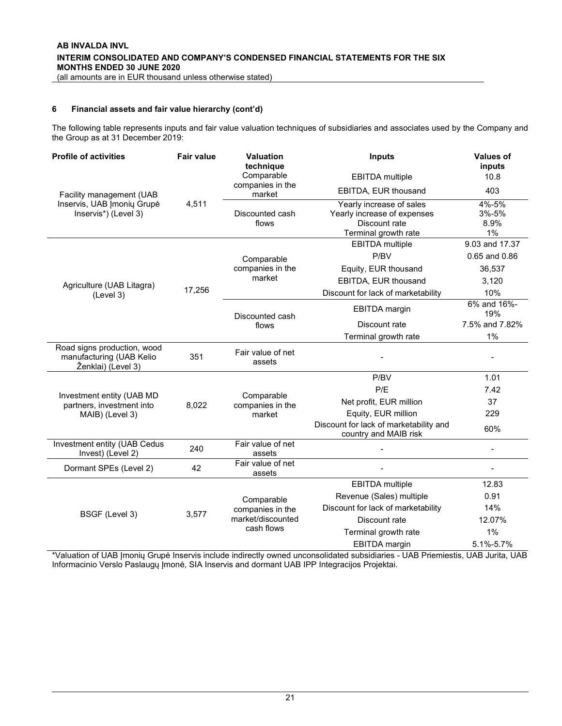The following table represents inputs and fair value valuation techniques of subsidiaries and associates used by the Company and the Group as at 31 December 2019:

| <b>Profile of activities</b>                                                  | <b>Fair value</b> | <b>Valuation</b><br>technique<br>Comparable | <b>Inputs</b>                                                                                    | <b>Values of</b><br>inputs   |
|-------------------------------------------------------------------------------|-------------------|---------------------------------------------|--------------------------------------------------------------------------------------------------|------------------------------|
|                                                                               |                   | companies in the                            | <b>EBITDA</b> multiple<br>EBITDA, EUR thousand                                                   | 10.8<br>403                  |
| Facility management (UAB                                                      |                   | market                                      |                                                                                                  |                              |
| Inservis, UAB Įmonių Grupė<br>Inservis*) (Level 3)                            | 4,511             | Discounted cash<br>flows                    | Yearly increase of sales<br>Yearly increase of expenses<br>Discount rate<br>Terminal growth rate | 4%-5%<br>3%-5%<br>8.9%<br>1% |
|                                                                               |                   |                                             | <b>EBITDA</b> multiple                                                                           | 9.03 and 17.37               |
|                                                                               |                   | Comparable                                  | P/BV                                                                                             | 0.65 and 0.86                |
|                                                                               |                   | companies in the                            | Equity, EUR thousand                                                                             | 36,537                       |
| Agriculture (UAB Litagra)                                                     |                   | market                                      | EBITDA, EUR thousand                                                                             | 3,120                        |
| (Level 3)                                                                     | 17,256            |                                             | Discount for lack of marketability                                                               | 10%                          |
|                                                                               |                   | Discounted cash                             | EBITDA margin                                                                                    | 6% and 16%-<br>19%           |
|                                                                               |                   | flows                                       | Discount rate                                                                                    | 7.5% and 7.82%               |
|                                                                               |                   |                                             | Terminal growth rate                                                                             | 1%                           |
| Road signs production, wood<br>manufacturing (UAB Kelio<br>Ženklai) (Level 3) | 351               | Fair value of net<br>assets                 |                                                                                                  |                              |
|                                                                               |                   |                                             | P/BV                                                                                             | 1.01                         |
|                                                                               |                   | Comparable                                  | P/E                                                                                              | 7.42                         |
| Investment entity (UAB MD<br>partners, investment into                        | 8,022             | companies in the                            | Net profit, EUR million                                                                          | 37                           |
| MAIB) (Level 3)                                                               |                   | market                                      | Equity, EUR million                                                                              | 229                          |
|                                                                               |                   |                                             | Discount for lack of marketability and<br>country and MAIB risk                                  | 60%                          |
| Investment entity (UAB Cedus<br>Invest) (Level 2)                             | 240               | Fair value of net<br>assets                 |                                                                                                  |                              |
| Dormant SPEs (Level 2)                                                        | 42                | Fair value of net<br>assets                 |                                                                                                  | $\overline{\phantom{0}}$     |
|                                                                               |                   |                                             | <b>EBITDA</b> multiple                                                                           | 12.83                        |
|                                                                               |                   | Comparable                                  | Revenue (Sales) multiple                                                                         | 0.91                         |
| BSGF (Level 3)                                                                | 3,577             | companies in the                            | Discount for lack of marketability                                                               | 14%                          |
|                                                                               |                   | market/discounted                           | Discount rate                                                                                    | 12.07%                       |
|                                                                               |                   | cash flows                                  | Terminal growth rate                                                                             | 1%                           |
|                                                                               |                   |                                             | <b>EBITDA</b> margin                                                                             | 5.1%-5.7%                    |

\*Valuation of UAB Įmonių Grupė Inservis include indirectly owned unconsolidated subsidiaries - UAB Priemiestis, UAB Jurita, UAB Informacinio Verslo Paslaugų Įmonė, SIA Inservis and dormant UAB IPP Integracijos Projektai.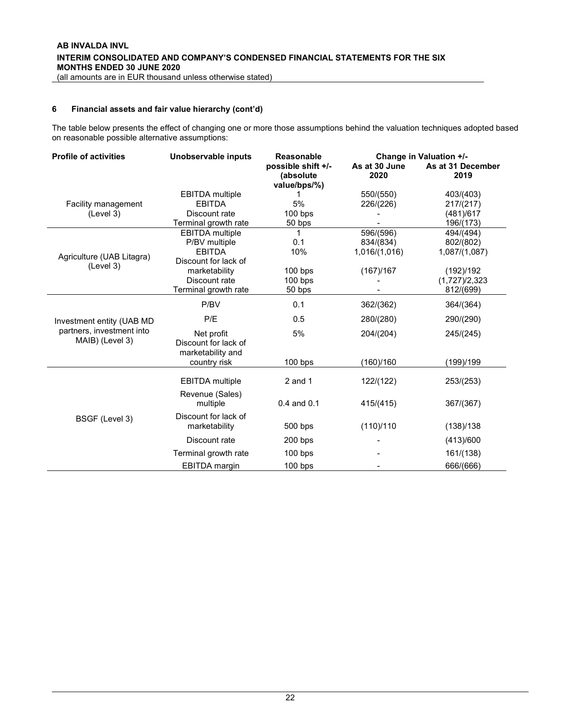The table below presents the effect of changing one or more those assumptions behind the valuation techniques adopted based on reasonable possible alternative assumptions:

| <b>Profile of activities</b>                 | Unobservable inputs                                     | <b>Reasonable</b>                | Change in Valuation +/- |                           |  |
|----------------------------------------------|---------------------------------------------------------|----------------------------------|-------------------------|---------------------------|--|
|                                              |                                                         | possible shift +/-<br>(absolute) | As at 30 June<br>2020   | As at 31 December<br>2019 |  |
|                                              |                                                         | value/bps/%)                     |                         |                           |  |
|                                              | <b>EBITDA</b> multiple                                  | 1                                | 550/(550)               | 403/(403)                 |  |
| Facility management                          | <b>EBITDA</b>                                           | 5%                               | 226/(226)               | 217/(217)                 |  |
| (Level 3)                                    | Discount rate                                           | $100$ bps                        |                         | (481)/617                 |  |
|                                              | Terminal growth rate                                    | 50 bps                           |                         | 196/(173)                 |  |
|                                              | <b>EBITDA</b> multiple                                  | 1                                | 596/(596)               | 494/(494)                 |  |
|                                              | P/BV multiple                                           | 0.1                              | 834/(834)               | 802/(802)                 |  |
| Agriculture (UAB Litagra)                    | <b>EBITDA</b><br>Discount for lack of                   | 10%                              | 1,016/(1,016)           | 1,087/(1,087)             |  |
| (Level 3)                                    |                                                         |                                  |                         |                           |  |
|                                              | marketability<br>Discount rate                          | $100$ bps                        | (167)/167               | (192)/192                 |  |
|                                              |                                                         | $100$ bps                        |                         | (1,727)/2,323             |  |
|                                              | Terminal growth rate                                    | 50 bps                           |                         | 812/(699)                 |  |
|                                              | P/BV                                                    | 0.1                              | 362/(362)               | 364/(364)                 |  |
| Investment entity (UAB MD                    | P/E                                                     | 0.5                              | 280/(280)               | 290/(290)                 |  |
| partners, investment into<br>MAIB) (Level 3) | Net profit<br>Discount for lack of<br>marketability and | 5%                               | 204/(204)               | 245/(245)                 |  |
|                                              | country risk                                            | 100 bps                          | (160)/160               | (199)/199                 |  |
|                                              | <b>EBITDA</b> multiple                                  | $2$ and 1                        | 122/(122)               | 253/(253)                 |  |
|                                              | Revenue (Sales)<br>multiple                             | $0.4$ and $0.1$                  | 415/(415)               | 367/(367)                 |  |
| BSGF (Level 3)                               | Discount for lack of<br>marketability                   | 500 bps                          | (110)/110               | (138)/138                 |  |
|                                              | Discount rate                                           | $200$ bps                        |                         | (413)/600                 |  |
|                                              | Terminal growth rate                                    | $100$ bps                        |                         | 161/(138)                 |  |
|                                              | <b>EBITDA</b> margin                                    | $100$ bps                        |                         | 666/(666)                 |  |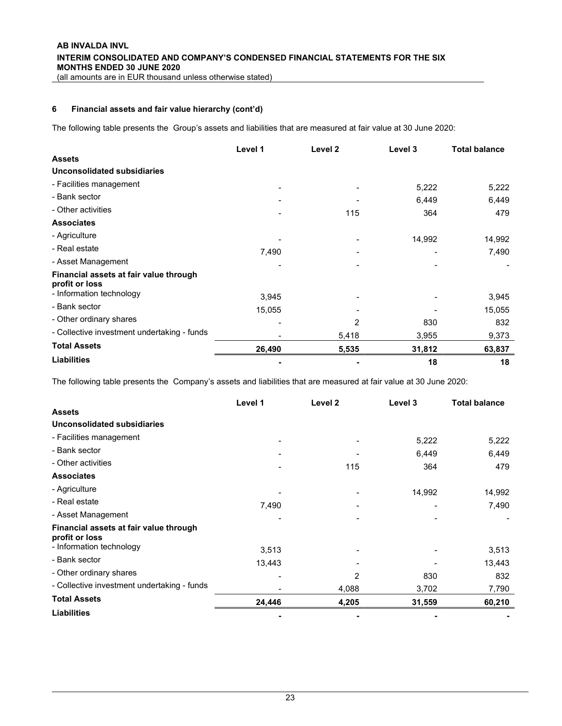The following table presents the Group's assets and liabilities that are measured at fair value at 30 June 2020:

|                                                          | Level 1 | Level 2        | Level 3 | <b>Total balance</b> |
|----------------------------------------------------------|---------|----------------|---------|----------------------|
| <b>Assets</b>                                            |         |                |         |                      |
| <b>Unconsolidated subsidiaries</b>                       |         |                |         |                      |
| - Facilities management                                  |         |                | 5,222   | 5,222                |
| - Bank sector                                            |         |                | 6,449   | 6,449                |
| - Other activities                                       |         | 115            | 364     | 479                  |
| <b>Associates</b>                                        |         |                |         |                      |
| - Agriculture                                            |         |                | 14,992  | 14,992               |
| - Real estate                                            | 7,490   |                |         | 7,490                |
| - Asset Management                                       |         |                |         |                      |
| Financial assets at fair value through<br>profit or loss |         |                |         |                      |
| - Information technology                                 | 3,945   |                |         | 3,945                |
| - Bank sector                                            | 15,055  |                |         | 15,055               |
| - Other ordinary shares                                  |         | $\overline{2}$ | 830     | 832                  |
| - Collective investment undertaking - funds              |         | 5,418          | 3,955   | 9,373                |
| <b>Total Assets</b>                                      | 26,490  | 5,535          | 31,812  | 63,837               |
| <b>Liabilities</b>                                       |         |                | 18      | 18                   |

The following table presents the Company's assets and liabilities that are measured at fair value at 30 June 2020:

|                                                          | Level 1 | Level 2 | Level 3 | <b>Total balance</b> |
|----------------------------------------------------------|---------|---------|---------|----------------------|
| <b>Assets</b>                                            |         |         |         |                      |
| Unconsolidated subsidiaries                              |         |         |         |                      |
| - Facilities management                                  |         |         | 5,222   | 5,222                |
| - Bank sector                                            |         |         | 6,449   | 6,449                |
| - Other activities                                       |         | 115     | 364     | 479                  |
| <b>Associates</b>                                        |         |         |         |                      |
| - Agriculture                                            |         |         | 14,992  | 14,992               |
| - Real estate                                            | 7,490   |         |         | 7,490                |
| - Asset Management                                       |         |         |         |                      |
| Financial assets at fair value through<br>profit or loss |         |         |         |                      |
| - Information technology                                 | 3,513   |         |         | 3,513                |
| - Bank sector                                            | 13,443  |         |         | 13,443               |
| - Other ordinary shares                                  |         | 2       | 830     | 832                  |
| - Collective investment undertaking - funds              |         | 4,088   | 3,702   | 7,790                |
| <b>Total Assets</b>                                      | 24,446  | 4,205   | 31,559  | 60,210               |
| <b>Liabilities</b>                                       |         |         |         |                      |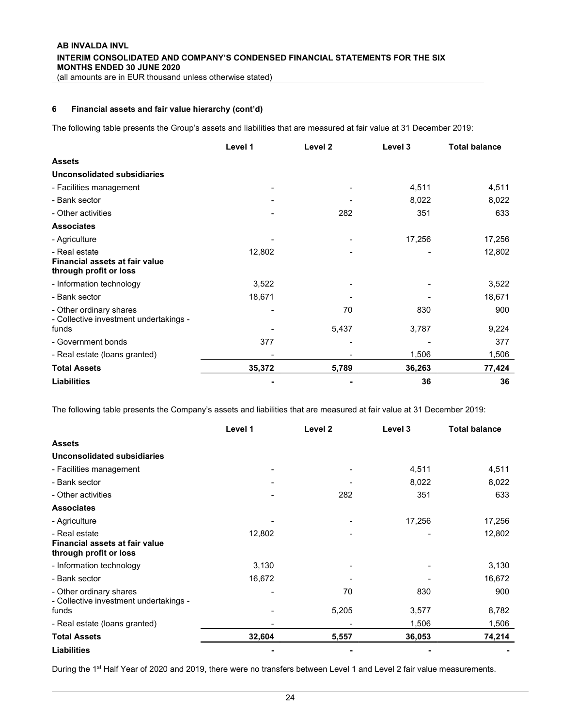The following table presents the Group's assets and liabilities that are measured at fair value at 31 December 2019:

|                                                                           | Level 1 | Level 2 | Level 3 | <b>Total balance</b> |
|---------------------------------------------------------------------------|---------|---------|---------|----------------------|
| <b>Assets</b>                                                             |         |         |         |                      |
| Unconsolidated subsidiaries                                               |         |         |         |                      |
| - Facilities management                                                   |         |         | 4,511   | 4,511                |
| - Bank sector                                                             |         |         | 8,022   | 8,022                |
| - Other activities                                                        |         | 282     | 351     | 633                  |
| <b>Associates</b>                                                         |         |         |         |                      |
| - Agriculture                                                             |         |         | 17,256  | 17,256               |
| - Real estate<br>Financial assets at fair value<br>through profit or loss | 12,802  |         |         | 12,802               |
| - Information technology                                                  | 3,522   |         |         | 3,522                |
| - Bank sector                                                             | 18,671  |         |         | 18,671               |
| - Other ordinary shares<br>- Collective investment undertakings -         |         | 70      | 830     | 900                  |
| funds                                                                     |         | 5,437   | 3,787   | 9,224                |
| - Government bonds                                                        | 377     |         |         | 377                  |
| - Real estate (loans granted)                                             |         |         | 1,506   | 1,506                |
| <b>Total Assets</b>                                                       | 35,372  | 5,789   | 36,263  | 77,424               |
| <b>Liabilities</b>                                                        |         |         | 36      | 36                   |

The following table presents the Company's assets and liabilities that are measured at fair value at 31 December 2019:

|                                                                           | Level 1 | Level <sub>2</sub> | Level 3 | <b>Total balance</b> |
|---------------------------------------------------------------------------|---------|--------------------|---------|----------------------|
| <b>Assets</b>                                                             |         |                    |         |                      |
| Unconsolidated subsidiaries                                               |         |                    |         |                      |
| - Facilities management                                                   |         |                    | 4,511   | 4,511                |
| - Bank sector                                                             |         |                    | 8,022   | 8,022                |
| - Other activities                                                        |         | 282                | 351     | 633                  |
| <b>Associates</b>                                                         |         |                    |         |                      |
| - Agriculture                                                             |         |                    | 17,256  | 17,256               |
| - Real estate<br>Financial assets at fair value<br>through profit or loss | 12,802  |                    |         | 12,802               |
| - Information technology                                                  | 3,130   |                    |         | 3,130                |
| - Bank sector                                                             | 16,672  |                    |         | 16,672               |
| - Other ordinary shares<br>- Collective investment undertakings -         |         | 70                 | 830     | 900                  |
| funds                                                                     |         | 5,205              | 3,577   | 8,782                |
| - Real estate (loans granted)                                             |         |                    | 1,506   | 1,506                |
| <b>Total Assets</b>                                                       | 32,604  | 5,557              | 36,053  | 74,214               |
| <b>Liabilities</b>                                                        |         |                    |         |                      |

During the 1<sup>st</sup> Half Year of 2020 and 2019, there were no transfers between Level 1 and Level 2 fair value measurements.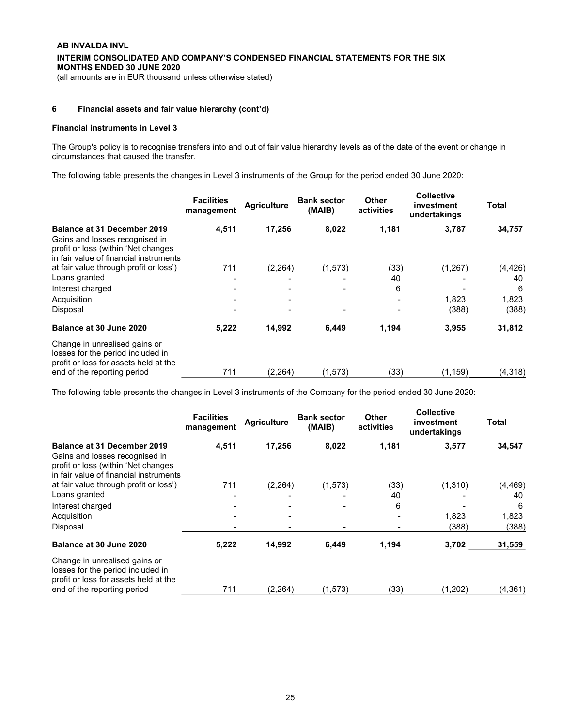#### Financial instruments in Level 3

The Group's policy is to recognise transfers into and out of fair value hierarchy levels as of the date of the event or change in circumstances that caused the transfer.

The following table presents the changes in Level 3 instruments of the Group for the period ended 30 June 2020:

|                                                                                                                 | <b>Facilities</b><br>management | <b>Agriculture</b> | <b>Bank sector</b><br>(MAIB) | <b>Other</b><br>activities | <b>Collective</b><br>investment<br>undertakings | Total    |
|-----------------------------------------------------------------------------------------------------------------|---------------------------------|--------------------|------------------------------|----------------------------|-------------------------------------------------|----------|
| <b>Balance at 31 December 2019</b>                                                                              | 4,511                           | 17,256             | 8,022                        | 1,181                      | 3,787                                           | 34,757   |
| Gains and losses recognised in<br>profit or loss (within 'Net changes<br>in fair value of financial instruments |                                 |                    |                              |                            |                                                 |          |
| at fair value through profit or loss')                                                                          | 711                             | (2,264)            | (1, 573)                     | (33)                       | (1,267)                                         | (4, 426) |
| Loans granted                                                                                                   |                                 |                    |                              | 40                         |                                                 | 40       |
| Interest charged                                                                                                |                                 |                    | $\overline{\phantom{0}}$     | 6                          |                                                 | 6        |
| Acquisition                                                                                                     |                                 |                    |                              |                            | 1,823                                           | 1,823    |
| Disposal                                                                                                        |                                 |                    |                              |                            | (388)                                           | (388)    |
| Balance at 30 June 2020                                                                                         | 5,222                           | 14,992             | 6,449                        | 1,194                      | 3,955                                           | 31,812   |
| Change in unrealised gains or<br>losses for the period included in<br>profit or loss for assets held at the     |                                 |                    |                              |                            |                                                 |          |
| end of the reporting period                                                                                     | 711                             | (2.264)            | (1, 573)                     | (33)                       | (1, 159)                                        | (4,318)  |

The following table presents the changes in Level 3 instruments of the Company for the period ended 30 June 2020:

|                                                                                                                 | <b>Facilities</b><br>management | <b>Agriculture</b> | <b>Bank sector</b><br>(MAIB) | <b>Other</b><br>activities | <b>Collective</b><br>investment<br>undertakings | Total    |
|-----------------------------------------------------------------------------------------------------------------|---------------------------------|--------------------|------------------------------|----------------------------|-------------------------------------------------|----------|
| <b>Balance at 31 December 2019</b>                                                                              | 4,511                           | 17.256             | 8,022                        | 1,181                      | 3,577                                           | 34,547   |
| Gains and losses recognised in<br>profit or loss (within 'Net changes<br>in fair value of financial instruments |                                 |                    |                              |                            |                                                 |          |
| at fair value through profit or loss')                                                                          | 711                             | (2, 264)           | (1, 573)                     | (33)                       | (1, 310)                                        | (4, 469) |
| Loans granted                                                                                                   |                                 |                    |                              | 40                         |                                                 | 40       |
| Interest charged                                                                                                |                                 |                    |                              | 6                          |                                                 | 6        |
| Acquisition                                                                                                     |                                 |                    |                              |                            | 1,823                                           | 1,823    |
| Disposal                                                                                                        |                                 |                    |                              |                            | (388)                                           | (388)    |
| Balance at 30 June 2020                                                                                         | 5,222                           | 14,992             | 6,449                        | 1,194                      | 3,702                                           | 31,559   |
| Change in unrealised gains or<br>losses for the period included in<br>profit or loss for assets held at the     |                                 |                    |                              |                            |                                                 |          |
| end of the reporting period                                                                                     | 711                             | (2.264)            | (1,573)                      | (33)                       | (1,202)                                         | (4, 361) |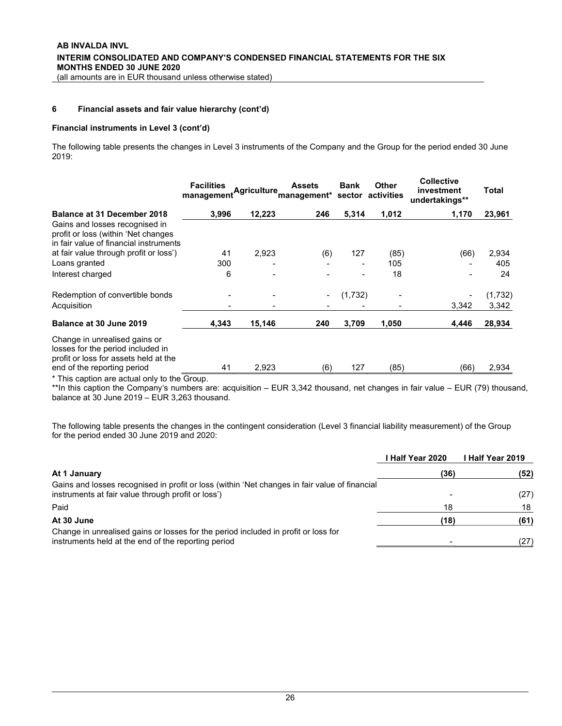#### Financial instruments in Level 3 (cont'd)

The following table presents the changes in Level 3 instruments of the Company and the Group for the period ended 30 June 2019:

|                                                                                                                 | <b>Facilities</b><br>management | <b>Agriculture</b> | <b>Assets</b><br>management* sector activities | <b>Bank</b> | Other | <b>Collective</b><br>investment<br>undertakings** | Total   |
|-----------------------------------------------------------------------------------------------------------------|---------------------------------|--------------------|------------------------------------------------|-------------|-------|---------------------------------------------------|---------|
| <b>Balance at 31 December 2018</b>                                                                              | 3,996                           | 12,223             | 246                                            | 5,314       | 1,012 | 1,170                                             | 23,961  |
| Gains and losses recognised in<br>profit or loss (within 'Net changes<br>in fair value of financial instruments |                                 |                    |                                                |             |       |                                                   |         |
| at fair value through profit or loss')                                                                          | 41                              | 2,923              | (6)                                            | 127         | (85)  | (66)                                              | 2,934   |
| Loans granted                                                                                                   | 300                             |                    |                                                |             | 105   |                                                   | 405     |
| Interest charged                                                                                                | 6                               |                    |                                                |             | 18    |                                                   | 24      |
| Redemption of convertible bonds                                                                                 |                                 |                    |                                                | (1,732)     |       |                                                   | (1,732) |
| Acquisition                                                                                                     |                                 |                    |                                                |             |       | 3,342                                             | 3,342   |
| Balance at 30 June 2019                                                                                         | 4,343                           | 15,146             | 240                                            | 3,709       | 1,050 | 4,446                                             | 28,934  |
| Change in unrealised gains or<br>losses for the period included in<br>profit or loss for assets held at the     |                                 |                    |                                                |             |       |                                                   |         |
| end of the reporting period                                                                                     | 41                              | 2,923              | (6)                                            | 127         | (85)  | (66)                                              | 2,934   |

\* This caption are actual only to the Group.

\*\*In this caption the Company's numbers are: acquisition – EUR 3,342 thousand, net changes in fair value – EUR (79) thousand, balance at 30 June 2019 – EUR 3,263 thousand.

The following table presents the changes in the contingent consideration (Level 3 financial liability measurement) of the Group for the period ended 30 June 2019 and 2020:

|                                                                                                                                                     | l Half Year 2020 | I Half Year 2019 |
|-----------------------------------------------------------------------------------------------------------------------------------------------------|------------------|------------------|
| At 1 January                                                                                                                                        | (36)             | (52)             |
| Gains and losses recognised in profit or loss (within 'Net changes in fair value of financial<br>instruments at fair value through profit or loss') |                  | (27)             |
| Paid                                                                                                                                                | 18               | 18               |
| At 30 June                                                                                                                                          | (18)             | (61)             |
| Change in unrealised gains or losses for the period included in profit or loss for<br>instruments held at the end of the reporting period           |                  | (27)             |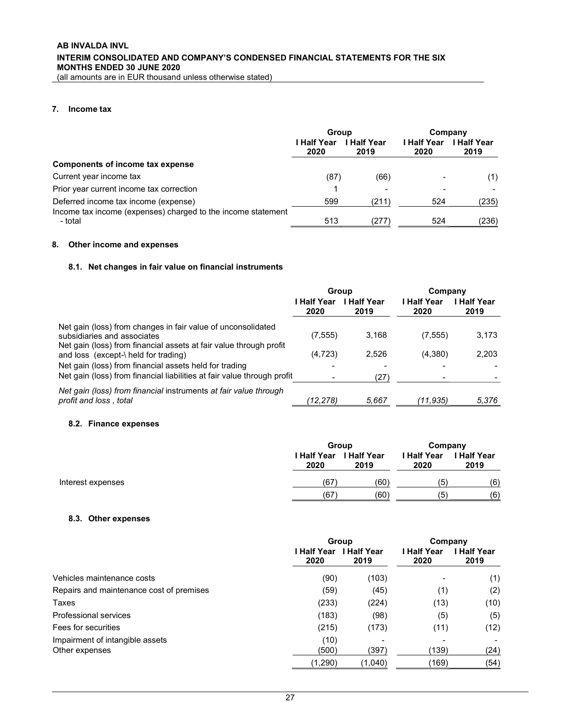(all amounts are in EUR thousand unless otherwise stated)

### 7. Income tax

|                                                                                                      | Group               |                     | Company             |                          |  |
|------------------------------------------------------------------------------------------------------|---------------------|---------------------|---------------------|--------------------------|--|
|                                                                                                      | I Half Year<br>2020 | I Half Year<br>2019 | I Half Year<br>2020 | <b>Half Year</b><br>2019 |  |
| Components of income tax expense                                                                     |                     |                     |                     |                          |  |
| Current year income tax                                                                              | (87`                | (66)                |                     | (1)                      |  |
| Prior year current income tax correction                                                             |                     |                     |                     |                          |  |
| Deferred income tax income (expense)<br>Income tax income (expenses) charged to the income statement | 599                 | (211)               | 524                 | (235)                    |  |
| - total                                                                                              | 513                 | (277)               | 524                 | (236)                    |  |

### 8. Other income and expenses

### 8.1. Net changes in fair value on financial instruments

| Group                                                                   |                     | Company             |                     |
|-------------------------------------------------------------------------|---------------------|---------------------|---------------------|
| <b>Half Year</b><br>2020                                                | I Half Year<br>2019 | l Half Year<br>2020 | I Half Year<br>2019 |
| (7, 555)                                                                | 3,168               | (7,555)             | 3,173               |
| (4, 723)                                                                | 2,526               | (4,380)             | 2,203               |
|                                                                         |                     |                     |                     |
| Net gain (loss) from financial liabilities at fair value through profit | (27)                |                     |                     |
| (12.278)                                                                | 5.667               | (11.935)            | 5.376               |
|                                                                         |                     |                     |                     |

#### 8.2. Finance expenses

|                   | Group |                                        | Company                    |                            |
|-------------------|-------|----------------------------------------|----------------------------|----------------------------|
|                   | 2020  | <b>I Half Year I Half Year</b><br>2019 | <b>I Half Year</b><br>2020 | <b>I Half Year</b><br>2019 |
| Interest expenses | (67   | (60)                                   | (5                         | (6)                        |
|                   | (67   | (60)                                   | (5                         | (6)                        |

### 8.3. Other expenses

|                                          | Group                    |                     | Company             |                          |
|------------------------------------------|--------------------------|---------------------|---------------------|--------------------------|
|                                          | <b>Half Year</b><br>2020 | I Half Year<br>2019 | I Half Year<br>2020 | <b>Half Year</b><br>2019 |
| Vehicles maintenance costs               | (90)                     | (103)               |                     | (1)                      |
| Repairs and maintenance cost of premises | (59)                     | (45)                | (1)                 | (2)                      |
| Taxes                                    | (233)                    | (224)               | (13)                | (10)                     |
| Professional services                    | (183)                    | (98)                | (5)                 | (5)                      |
| Fees for securities                      | (215)                    | (173)               | (11)                | (12)                     |
| Impairment of intangible assets          | (10)                     |                     |                     |                          |
| Other expenses                           | (500)                    | (397)               | (139)               | (24)                     |
|                                          | (1,290)                  | (1,040)             | (169)               | (54)                     |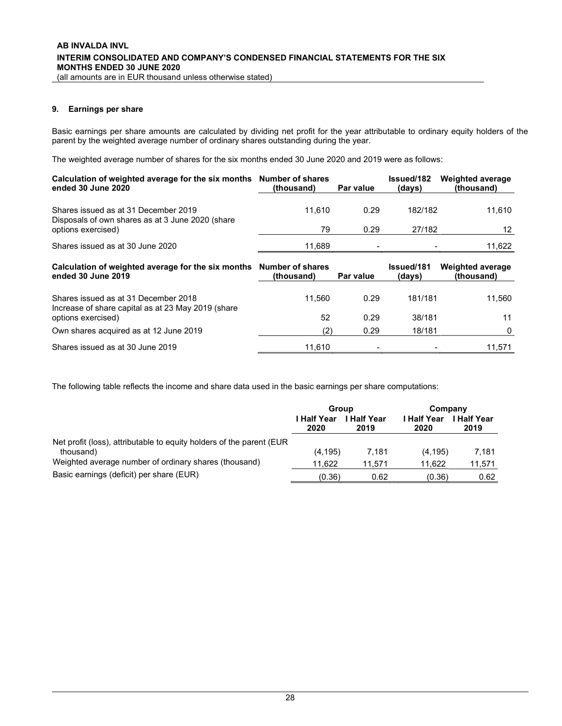### 9. Earnings per share

Basic earnings per share amounts are calculated by dividing net profit for the year attributable to ordinary equity holders of the parent by the weighted average number of ordinary shares outstanding during the year.

The weighted average number of shares for the six months ended 30 June 2020 and 2019 were as follows:

| Calculation of weighted average for the six months Number of shares<br>ended 30 June 2020  | (thousand)                            | Par value | <b>Issued/182</b><br>(days) | <b>Weighted average</b><br>(thousand) |  |
|--------------------------------------------------------------------------------------------|---------------------------------------|-----------|-----------------------------|---------------------------------------|--|
| Shares issued as at 31 December 2019<br>Disposals of own shares as at 3 June 2020 (share   | 11.610                                | 0.29      | 182/182                     | 11,610                                |  |
| options exercised)                                                                         | 79                                    | 0.29      | 27/182                      | 12                                    |  |
| Shares issued as at 30 June 2020                                                           | 11,689                                |           |                             | 11,622                                |  |
| Calculation of weighted average for the six months<br>ended 30 June 2019                   | <b>Number of shares</b><br>(thousand) | Par value | <b>Issued/181</b><br>(days) | <b>Weighted average</b><br>(thousand) |  |
| Shares issued as at 31 December 2018<br>Increase of share capital as at 23 May 2019 (share | 11.560                                | 0.29      | 181/181                     | 11,560                                |  |
| options exercised)                                                                         | 52                                    | 0.29      | 38/181                      | 11                                    |  |
| Own shares acquired as at 12 June 2019                                                     |                                       | 0.29      | 18/181                      |                                       |  |
|                                                                                            | (2)                                   |           |                             | 0                                     |  |

The following table reflects the income and share data used in the basic earnings per share computations:

|                                                                                   | <b>Group</b>                                    |        | Company             |                          |
|-----------------------------------------------------------------------------------|-------------------------------------------------|--------|---------------------|--------------------------|
|                                                                                   | <b>Half Year</b><br>l Half Year<br>2020<br>2019 |        | I Half Year<br>2020 | <b>Half Year</b><br>2019 |
| Net profit (loss), attributable to equity holders of the parent (EUR<br>thousand) | (4, 195)                                        | 7.181  | (4, 195)            | 7.181                    |
| Weighted average number of ordinary shares (thousand)                             | 11.622                                          | 11.571 | 11.622              | 11,571                   |
| Basic earnings (deficit) per share (EUR)                                          | (0.36)                                          | 0.62   | (0.36)              | 0.62                     |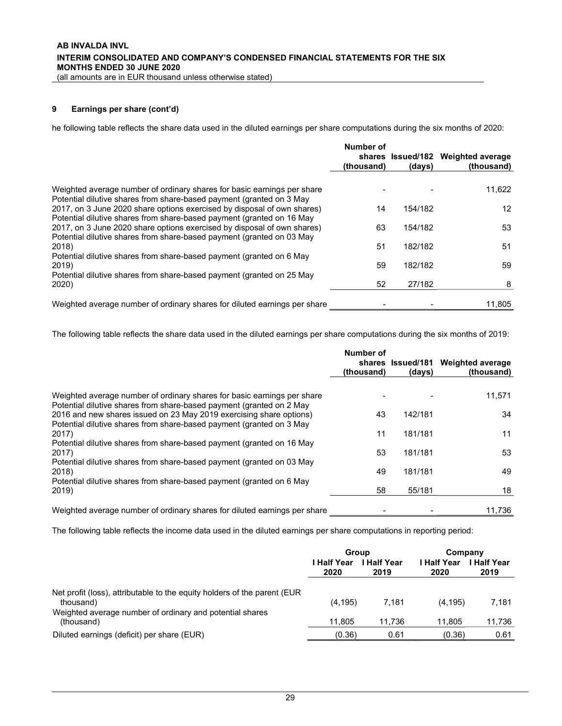### 9 Earnings per share (cont'd)

he following table reflects the share data used in the diluted earnings per share computations during the six months of 2020:

|                                                                                                                                                 | Number of<br>(thousand) | (days)  | shares Issued/182 Weighted average<br>(thousand) |
|-------------------------------------------------------------------------------------------------------------------------------------------------|-------------------------|---------|--------------------------------------------------|
|                                                                                                                                                 |                         |         |                                                  |
| Weighted average number of ordinary shares for basic earnings per share<br>Potential dilutive shares from share-based payment (granted on 3 May |                         |         | 11,622                                           |
| 2017, on 3 June 2020 share options exercised by disposal of own shares)                                                                         | 14                      | 154/182 | $12 \overline{ }$                                |
| Potential dilutive shares from share-based payment (granted on 16 May                                                                           |                         |         |                                                  |
| 2017, on 3 June 2020 share options exercised by disposal of own shares)                                                                         | 63                      | 154/182 | 53                                               |
| Potential dilutive shares from share-based payment (granted on 03 May                                                                           |                         |         |                                                  |
| 2018)                                                                                                                                           | 51                      | 182/182 | 51                                               |
| Potential dilutive shares from share-based payment (granted on 6 May                                                                            |                         |         |                                                  |
| 2019)                                                                                                                                           | 59                      | 182/182 | 59                                               |
| Potential dilutive shares from share-based payment (granted on 25 May                                                                           |                         |         |                                                  |
| 2020)                                                                                                                                           | 52                      | 27/182  | 8                                                |
| Weighted average number of ordinary shares for diluted earnings per share                                                                       |                         |         | 11.805                                           |

The following table reflects the share data used in the diluted earnings per share computations during the six months of 2019:

|                                                                                                                                                 | Number of<br>(thousand) | shares Issued/181<br>(days) | <b>Weighted average</b><br>(thousand) |
|-------------------------------------------------------------------------------------------------------------------------------------------------|-------------------------|-----------------------------|---------------------------------------|
|                                                                                                                                                 |                         |                             |                                       |
| Weighted average number of ordinary shares for basic earnings per share<br>Potential dilutive shares from share-based payment (granted on 2 May |                         |                             | 11,571                                |
| 2016 and new shares issued on 23 May 2019 exercising share options)<br>Potential dilutive shares from share-based payment (granted on 3 May     | 43                      | 142/181                     | 34                                    |
| 2017)                                                                                                                                           | 11                      | 181/181                     | 11                                    |
| Potential dilutive shares from share-based payment (granted on 16 May<br>2017)                                                                  | 53                      | 181/181                     | 53                                    |
| Potential dilutive shares from share-based payment (granted on 03 May<br>2018)                                                                  | 49                      | 181/181                     | 49                                    |
| Potential dilutive shares from share-based payment (granted on 6 May                                                                            |                         |                             |                                       |
| 2019)                                                                                                                                           | 58                      | 55/181                      | 18                                    |
| Weighted average number of ordinary shares for diluted earnings per share                                                                       |                         |                             | 11,736                                |

The following table reflects the income data used in the diluted earnings per share computations in reporting period:

|                                                                                       | Group                                           |        | Company             |                          |
|---------------------------------------------------------------------------------------|-------------------------------------------------|--------|---------------------|--------------------------|
|                                                                                       | I Half Year<br><b>Half Year</b><br>2020<br>2019 |        | l Half Year<br>2020 | <b>Half Year</b><br>2019 |
| Net profit (loss), attributable to the equity holders of the parent (EUR<br>thousand) | (4, 195)                                        | 7.181  | (4, 195)            | 7,181                    |
| Weighted average number of ordinary and potential shares<br>(thousand)                | 11,805                                          | 11.736 | 11.805              | 11,736                   |
| Diluted earnings (deficit) per share (EUR)                                            | (0.36)                                          | 0.61   | (0.36)              | 0.61                     |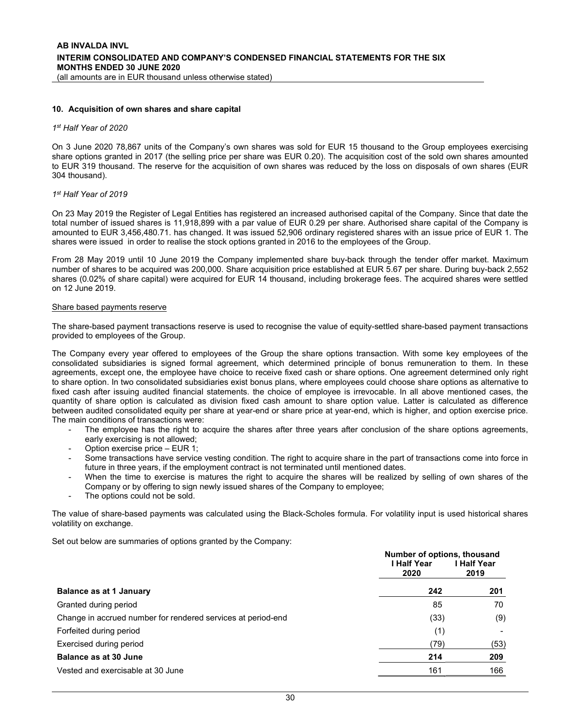#### 10. Acquisition of own shares and share capital

#### 1 st Half Year of 2020

On 3 June 2020 78,867 units of the Company's own shares was sold for EUR 15 thousand to the Group employees exercising share options granted in 2017 (the selling price per share was EUR 0.20). The acquisition cost of the sold own shares amounted to EUR 319 thousand. The reserve for the acquisition of own shares was reduced by the loss on disposals of own shares (EUR 304 thousand).

#### 1 st Half Year of 2019

On 23 May 2019 the Register of Legal Entities has registered an increased authorised capital of the Company. Since that date the total number of issued shares is 11,918,899 with a par value of EUR 0.29 per share. Authorised share capital of the Company is amounted to EUR 3,456,480.71. has changed. It was issued 52,906 ordinary registered shares with an issue price of EUR 1. The shares were issued in order to realise the stock options granted in 2016 to the employees of the Group.

From 28 May 2019 until 10 June 2019 the Company implemented share buy-back through the tender offer market. Maximum number of shares to be acquired was 200,000. Share acquisition price established at EUR 5.67 per share. During buy-back 2,552 shares (0.02% of share capital) were acquired for EUR 14 thousand, including brokerage fees. The acquired shares were settled on 12 June 2019.

#### Share based payments reserve

The share-based payment transactions reserve is used to recognise the value of equity-settled share-based payment transactions provided to employees of the Group.

The Company every year offered to employees of the Group the share options transaction. With some key employees of the consolidated subsidiaries is signed formal agreement, which determined principle of bonus remuneration to them. In these agreements, except one, the employee have choice to receive fixed cash or share options. One agreement determined only right to share option. In two consolidated subsidiaries exist bonus plans, where employees could choose share options as alternative to fixed cash after issuing audited financial statements. the choice of employee is irrevocable. In all above mentioned cases, the quantity of share option is calculated as division fixed cash amount to share option value. Latter is calculated as difference between audited consolidated equity per share at year-end or share price at year-end, which is higher, and option exercise price. The main conditions of transactions were:

- The employee has the right to acquire the shares after three years after conclusion of the share options agreements, early exercising is not allowed;
- Option exercise price EUR 1;
- Some transactions have service vesting condition. The right to acquire share in the part of transactions come into force in future in three years, if the employment contract is not terminated until mentioned dates.
- When the time to exercise is matures the right to acquire the shares will be realized by selling of own shares of the Company or by offering to sign newly issued shares of the Company to employee;
- The options could not be sold.

The value of share-based payments was calculated using the Black-Scholes formula. For volatility input is used historical shares volatility on exchange.

Set out below are summaries of options granted by the Company:

|                                                              | Number of options, thousand<br>I Half Year<br>2020 | <b>I Half Year</b><br>2019 |
|--------------------------------------------------------------|----------------------------------------------------|----------------------------|
| <b>Balance as at 1 January</b>                               | 242                                                | 201                        |
| Granted during period                                        | 85                                                 | 70                         |
| Change in accrued number for rendered services at period-end | (33)                                               | (9)                        |
| Forfeited during period                                      | (1)                                                |                            |
| Exercised during period                                      | (79)                                               | (53)                       |
| <b>Balance as at 30 June</b>                                 | 214                                                | 209                        |
| Vested and exercisable at 30 June                            | 161                                                | 166                        |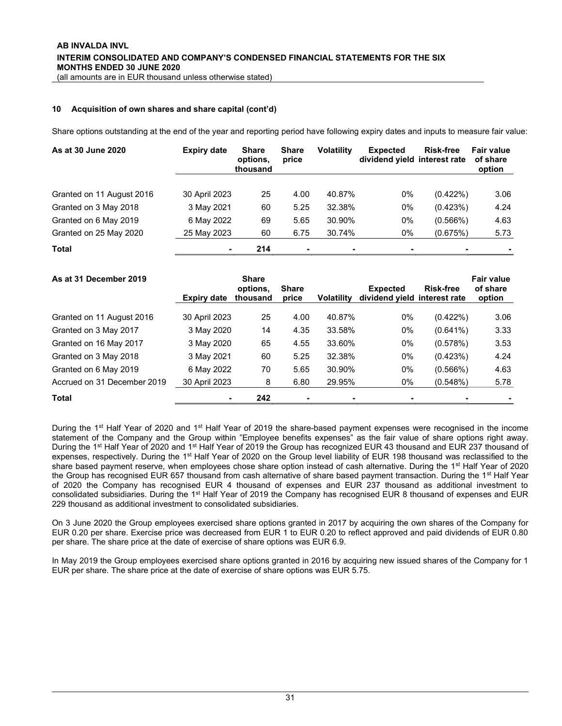### 10 Acquisition of own shares and share capital (cont'd)

Share options outstanding at the end of the year and reporting period have following expiry dates and inputs to measure fair value:

| As at 30 June 2020        | <b>Expiry date</b> | <b>Share</b><br>options.<br>thousand | <b>Share</b><br>price | <b>Volatility</b> | <b>Expected</b><br>dividend yield interest rate | <b>Risk-free</b> | <b>Fair value</b><br>of share<br>option |
|---------------------------|--------------------|--------------------------------------|-----------------------|-------------------|-------------------------------------------------|------------------|-----------------------------------------|
|                           |                    |                                      |                       |                   |                                                 |                  |                                         |
| Granted on 11 August 2016 | 30 April 2023      | 25                                   | 4.00                  | 40.87%            | 0%                                              | $(0.422\%)$      | 3.06                                    |
| Granted on 3 May 2018     | 3 May 2021         | 60                                   | 5.25                  | 32.38%            | 0%                                              | (0.423%)         | 4.24                                    |
| Granted on 6 May 2019     | 6 May 2022         | 69                                   | 5.65                  | 30.90%            | 0%                                              | (0.566%)         | 4.63                                    |
| Granted on 25 May 2020    | 25 May 2023        | 60                                   | 6.75                  | 30.74%            | 0%                                              | (0.675%)         | 5.73                                    |
| <b>Total</b>              |                    | 214                                  | $\blacksquare$        | $\blacksquare$    | ۰                                               |                  |                                         |

| As at 31 December 2019      | Expiry date   | <b>Share</b><br>options.<br>thousand | <b>Share</b><br>price    | <b>Volatility</b> | <b>Expected</b><br>dividend yield interest rate | <b>Risk-free</b> | <b>Fair value</b><br>of share<br>option |
|-----------------------------|---------------|--------------------------------------|--------------------------|-------------------|-------------------------------------------------|------------------|-----------------------------------------|
| Granted on 11 August 2016   | 30 April 2023 | 25                                   | 4.00                     | 40.87%            | $0\%$                                           | $(0.422\%)$      | 3.06                                    |
| Granted on 3 May 2017       | 3 May 2020    | 14                                   | 4.35                     | 33.58%            | $0\%$                                           | $(0.641\%)$      | 3.33                                    |
| Granted on 16 May 2017      | 3 May 2020    | 65                                   | 4.55                     | 33.60%            | 0%                                              | (0.578%)         | 3.53                                    |
| Granted on 3 May 2018       | 3 May 2021    | 60                                   | 5.25                     | 32.38%            | $0\%$                                           | (0.423%)         | 4.24                                    |
| Granted on 6 May 2019       | 6 May 2022    | 70                                   | 5.65                     | 30.90%            | $0\%$                                           | (0.566%)         | 4.63                                    |
| Accrued on 31 December 2019 | 30 April 2023 | 8                                    | 6.80                     | 29.95%            | 0%                                              | (0.548%)         | 5.78                                    |
| <b>Total</b>                |               | 242                                  | $\overline{\phantom{a}}$ |                   | -                                               |                  |                                         |

During the 1<sup>st</sup> Half Year of 2020 and 1<sup>st</sup> Half Year of 2019 the share-based payment expenses were recognised in the income statement of the Company and the Group within "Employee benefits expenses" as the fair value of share options right away. During the 1<sup>st</sup> Half Year of 2020 and 1<sup>st</sup> Half Year of 2019 the Group has recognized EUR 43 thousand and EUR 237 thousand of expenses, respectively. During the 1<sup>st</sup> Half Year of 2020 on the Group level liability of EUR 198 thousand was reclassified to the share based payment reserve, when employees chose share option instead of cash alternative. During the 1<sup>st</sup> Half Year of 2020 the Group has recognised EUR 657 thousand from cash alternative of share based payment transaction. During the 1<sup>st</sup> Half Year of 2020 the Company has recognised EUR 4 thousand of expenses and EUR 237 thousand as additional investment to consolidated subsidiaries. During the 1<sup>st</sup> Half Year of 2019 the Company has recognised EUR 8 thousand of expenses and EUR 229 thousand as additional investment to consolidated subsidiaries.

On 3 June 2020 the Group employees exercised share options granted in 2017 by acquiring the own shares of the Company for EUR 0.20 per share. Exercise price was decreased from EUR 1 to EUR 0.20 to reflect approved and paid dividends of EUR 0.80 per share. The share price at the date of exercise of share options was EUR 6.9.

In May 2019 the Group employees exercised share options granted in 2016 by acquiring new issued shares of the Company for 1 EUR per share. The share price at the date of exercise of share options was EUR 5.75.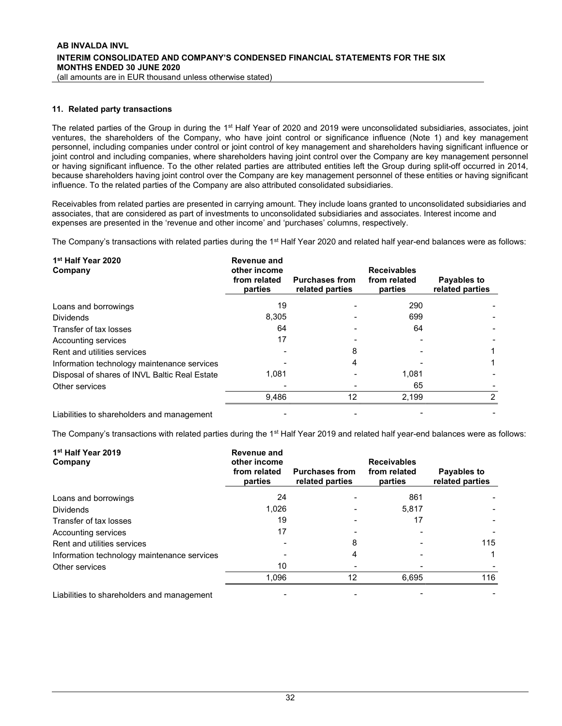#### 11. Related party transactions

The related parties of the Group in during the 1<sup>st</sup> Half Year of 2020 and 2019 were unconsolidated subsidiaries, associates, joint ventures, the shareholders of the Company, who have joint control or significance influence (Note 1) and key management personnel, including companies under control or joint control of key management and shareholders having significant influence or joint control and including companies, where shareholders having joint control over the Company are key management personnel or having significant influence. To the other related parties are attributed entities left the Group during split-off occurred in 2014, because shareholders having joint control over the Company are key management personnel of these entities or having significant influence. To the related parties of the Company are also attributed consolidated subsidiaries.

Receivables from related parties are presented in carrying amount. They include loans granted to unconsolidated subsidiaries and associates, that are considered as part of investments to unconsolidated subsidiaries and associates. Interest income and expenses are presented in the 'revenue and other income' and 'purchases' columns, respectively.

The Company's transactions with related parties during the 1<sup>st</sup> Half Year 2020 and related half year-end balances were as follows:

| 1 <sup>st</sup> Half Year 2020<br>Company     | Revenue and<br>other income<br>from related<br>parties | <b>Purchases from</b><br>related parties | <b>Receivables</b><br>from related<br>parties | Payables to<br>related parties |
|-----------------------------------------------|--------------------------------------------------------|------------------------------------------|-----------------------------------------------|--------------------------------|
| Loans and borrowings                          | 19                                                     |                                          | 290                                           |                                |
| <b>Dividends</b>                              | 8,305                                                  |                                          | 699                                           |                                |
| Transfer of tax losses                        | 64                                                     |                                          | 64                                            |                                |
| Accounting services                           | 17                                                     |                                          |                                               |                                |
| Rent and utilities services                   |                                                        | 8                                        |                                               |                                |
| Information technology maintenance services   |                                                        | 4                                        |                                               |                                |
| Disposal of shares of INVL Baltic Real Estate | 1.081                                                  |                                          | 1,081                                         |                                |
| Other services                                |                                                        |                                          | 65                                            |                                |
|                                               | 9.486                                                  | 12                                       | 2,199                                         | ◠                              |
| Liabilities to shareholders and management    |                                                        |                                          |                                               |                                |

The Company's transactions with related parties during the 1<sup>st</sup> Half Year 2019 and related half year-end balances were as follows:

| 1 <sup>st</sup> Half Year 2019<br>Company   | Revenue and<br>other income<br>from related<br>parties | <b>Purchases from</b><br>related parties | <b>Receivables</b><br>from related<br>parties | Payables to<br>related parties |
|---------------------------------------------|--------------------------------------------------------|------------------------------------------|-----------------------------------------------|--------------------------------|
| Loans and borrowings                        | 24                                                     |                                          | 861                                           |                                |
| <b>Dividends</b>                            | 1.026                                                  |                                          | 5,817                                         |                                |
| Transfer of tax losses                      | 19                                                     |                                          | 17                                            |                                |
| Accounting services                         | 17                                                     |                                          |                                               |                                |
| Rent and utilities services                 |                                                        | 8                                        |                                               | 115                            |
| Information technology maintenance services |                                                        | 4                                        |                                               |                                |
| Other services                              | 10                                                     |                                          |                                               |                                |
|                                             | 1.096                                                  | 12                                       | 6.695                                         | 116                            |
| Liabilities to shareholders and management  |                                                        |                                          |                                               |                                |